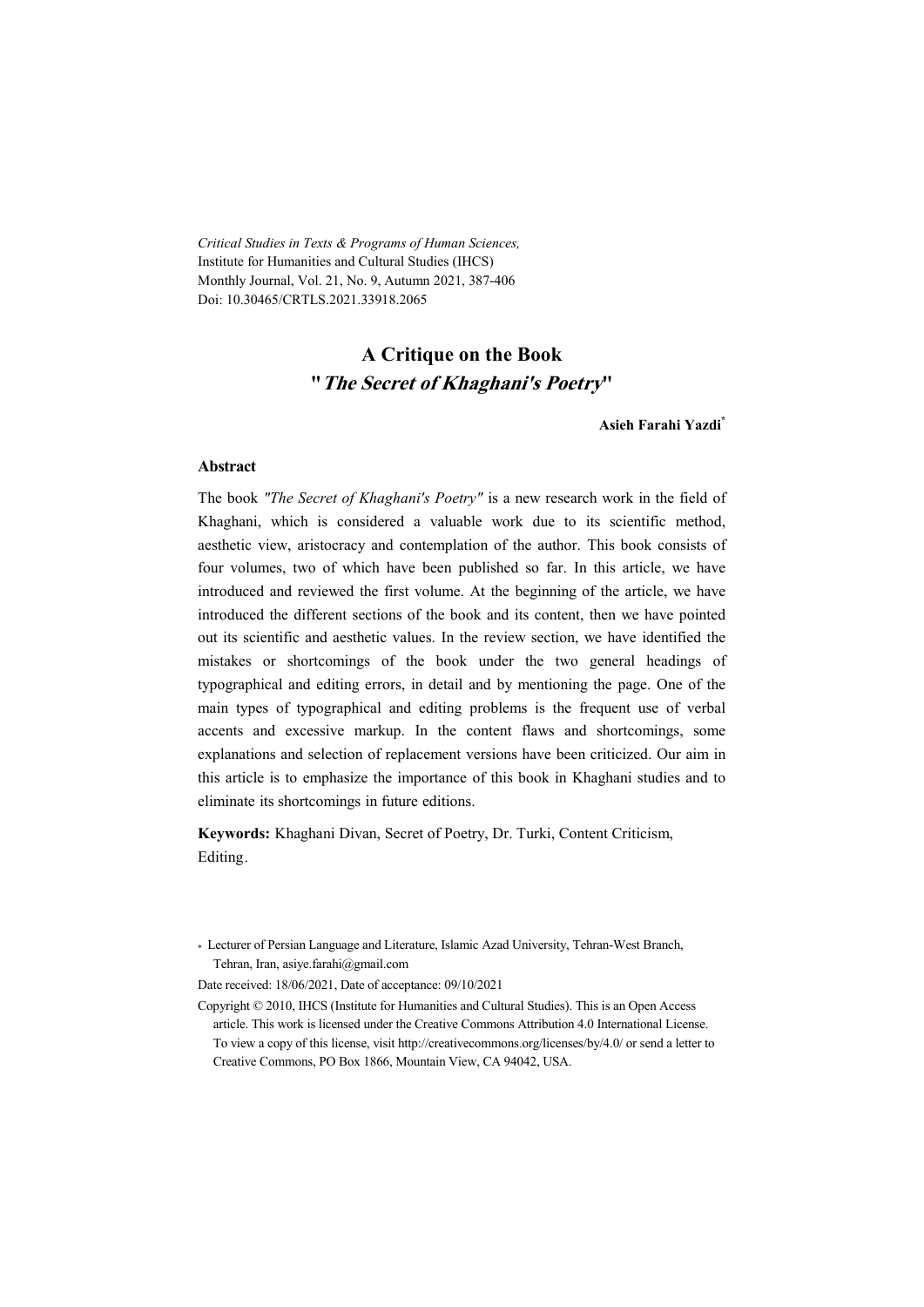*Critical Studies in Texts & Programs of Human Sciences,*  Institute for Humanities and Cultural Studies (IHCS) Monthly Journal, Vol. 21, No. 9, Autumn 2021, 387-406 Doi: 10.30465/CRTLS.2021.33918.2065

## **A Critique on the Book "The Secret of Khaghani's Poetry"**

**Asieh Farahi Yazdi\***

#### **Abstract**

The book *"The Secret of Khaghani's Poetry"* is a new research work in the field of Khaghani, which is considered a valuable work due to its scientific method, aesthetic view, aristocracy and contemplation of the author. This book consists of four volumes, two of which have been published so far. In this article, we have introduced and reviewed the first volume. At the beginning of the article, we have introduced the different sections of the book and its content, then we have pointed out its scientific and aesthetic values. In the review section, we have identified the mistakes or shortcomings of the book under the two general headings of typographical and editing errors, in detail and by mentioning the page. One of the main types of typographical and editing problems is the frequent use of verbal accents and excessive markup. In the content flaws and shortcomings, some explanations and selection of replacement versions have been criticized. Our aim in this article is to emphasize the importance of this book in Khaghani studies and to eliminate its shortcomings in future editions.

**Keywords:** Khaghani Divan, Secret of Poetry, Dr. Turki, Content Criticism, Editing.

Date received: 18/06/2021, Date of acceptance: 09/10/2021

<sup>\*</sup> Lecturer of Persian Language and Literature, Islamic Azad University, Tehran-West Branch, Tehran, Iran, asiye.farahi@gmail.com

Copyright © 2010, IHCS (Institute for Humanities and Cultural Studies). This is an Open Access article. This work is licensed under the Creative Commons Attribution 4.0 International License. To view a copy of this license, visit http://creativecommons.org/licenses/by/4.0/ or send a letter to Creative Commons, PO Box 1866, Mountain View, CA 94042, USA.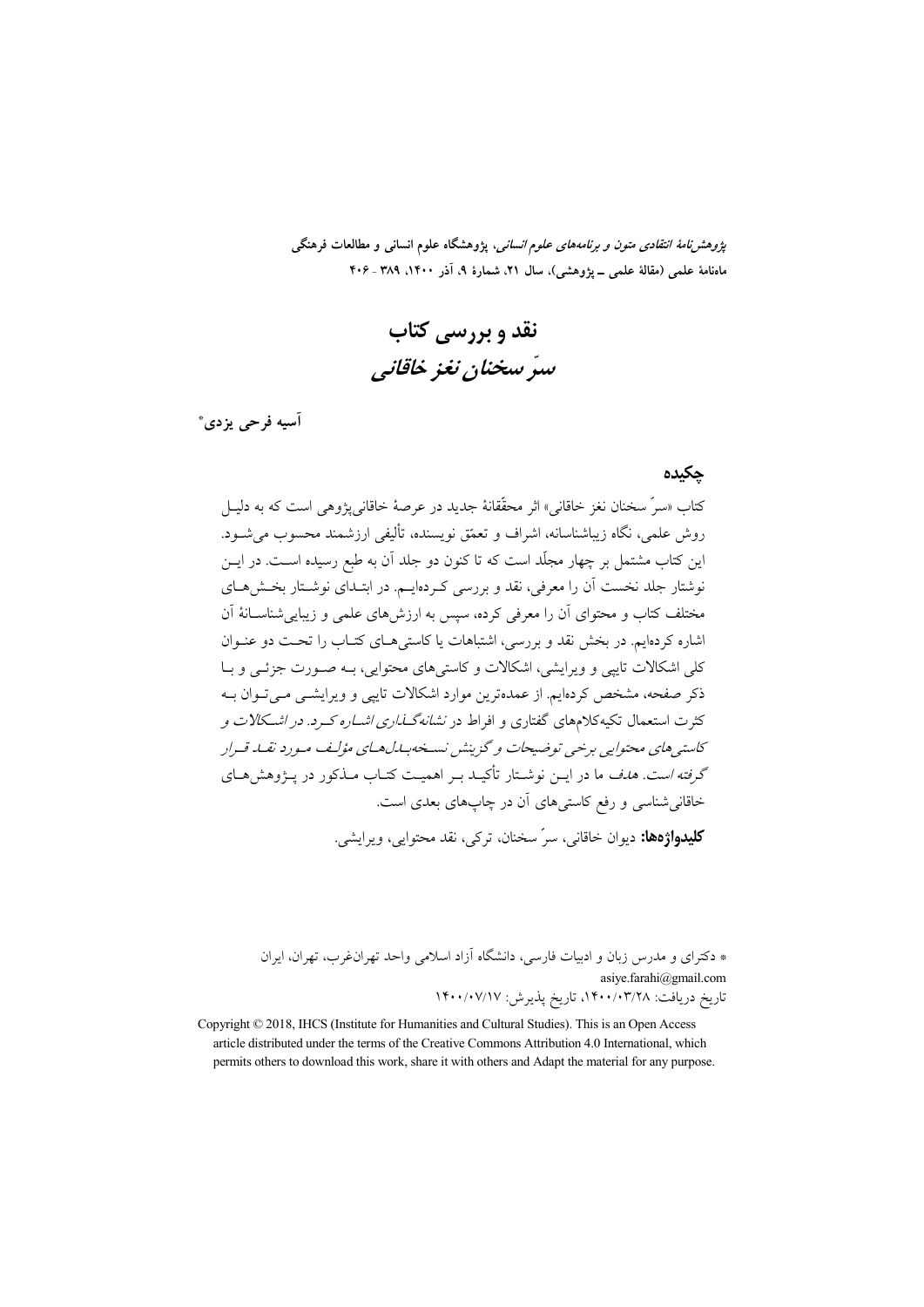*پژوهشنامهٔ انتقادی متون و برنامههای علوم انسانی،* پژوهشگاه علوم انسانی و مطالعات فرهنگی ماهنامهٔ علمی (مقالهٔ علمی \_ یژوهشم)، سال ۲۱، شمارهٔ ۹، آذر ۱۴۰۰، ۳۸۹ ـ ۴۰۶

نقد و پررسے کتاب سدّ سخنان نغز خاقانبي

آسيه فرحي پزدي\*

#### حكىدە

کتاب «سرٌ سخنان نغز خاقانی» اثر محقّقانهٔ جدید در عرصهٔ خاقانی پژوهی است که به دلیـل روش علمی، نگاه زیباشناسانه، اشراف و تعمّق نویسنده، تألیفی ارزشمند محسوب می شــود. این کتاب مشتمل بر چهار مجلّد است که تا کنون دو جلد آن به طبع رسیده اسـت. در ایــن .<br>نوشتار جلد نخست آن را معرفی، نقد و بررسی کـردهایـم. در ابتـدای نوشـتار بخـش۱هـای مختلف کتاب و محتوای آن را معرفی کرده، سیس به ارزش های علمی و زیبایی شناسـانهٔ آن اشاره کردهایم. در پخش نقد و پررسی، اشتباهات با کاستی هیای کتباب را تحت دو عنبوان کلے ِ اشکالات تایبے و ویرایشے ، اشکالات و کاستے های محتوایی، بـه صـورت جزئـبی و بـا ذکر صفحه، مشخص کردهایم. از عمدهترین موارد اشکالات تاییبی و ویرایشبی مبی تـوان بـه کثرت استعمال تکیهکلامهای گفتاری و افراط در *نشانهگـــذاری اشـــاره کــرد. در اشــکالات و* کاسته های محتوابه برخبی توضیحات و گزینش نسخه بیاراهبای مؤلف میورد نقبا. قیرار گر*فته است. هدف* ما در ایـن نوشـتار تأکیـد بـر اهمیـت کتـاب مـذکور در پـژوهش هـای خاقانیشناسی و رفع کاست<sub>ی</sub>های آن در چاپهای بعدی است. **کليدواژهها:** ديوان خاقاني، سرّ سخنان، ترکي، نقد محتوايي، ويرايشي.

\* دکترای و مدرس زبان و ادبیات فارسی، دانشگاه آزاد اسلامی واحد تهران غرب، تهران، ایران asiye.farahi@gmail.com تاريخ دريافت: ١۴٠٠/٠٣/٢٨، تاريخ پذيرش: ١۴٠٠/٠٧/١٧

Copyright © 2018, IHCS (Institute for Humanities and Cultural Studies). This is an Open Access article distributed under the terms of the Creative Commons Attribution 4.0 International, which permits others to download this work, share it with others and Adapt the material for any purpose.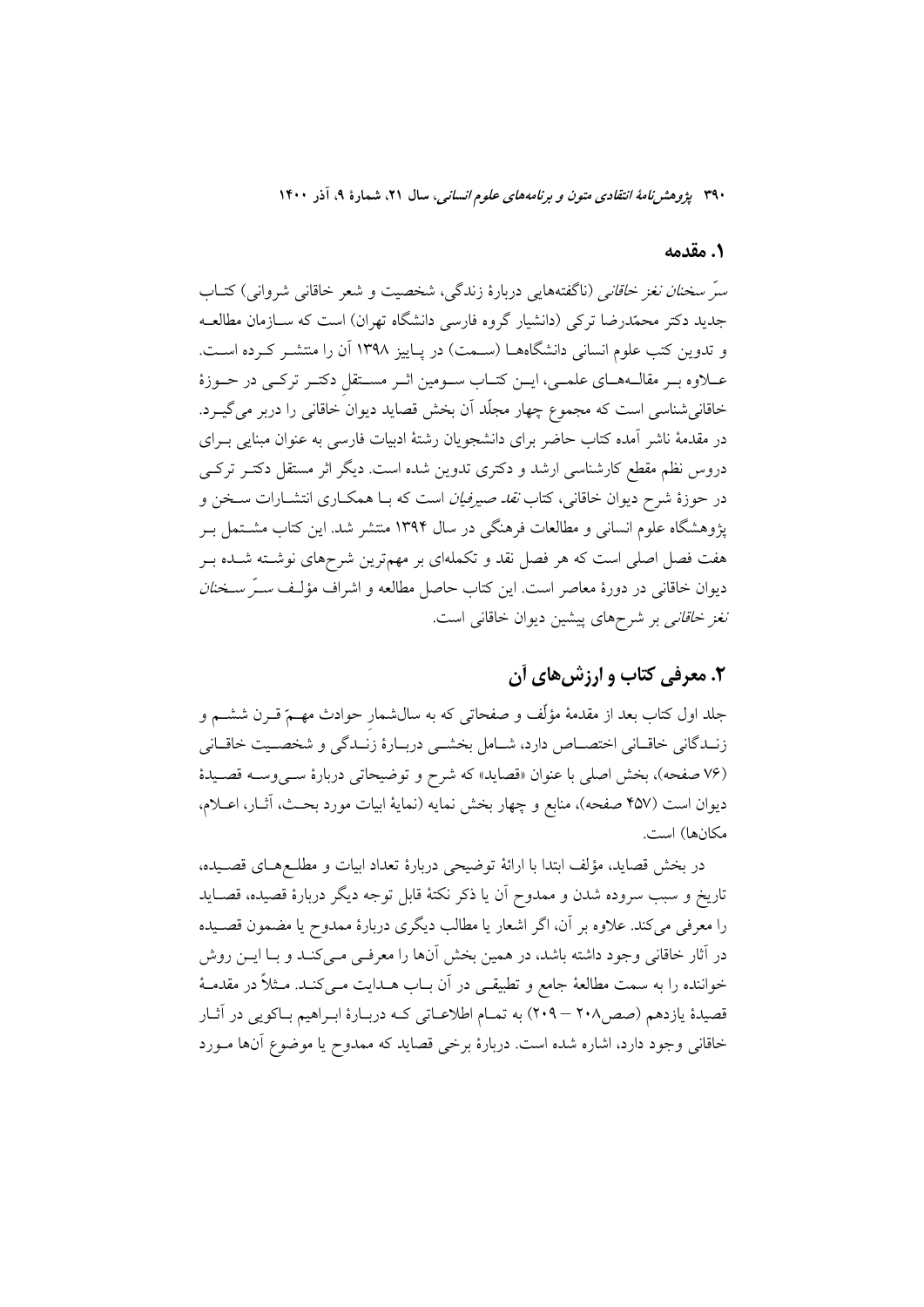#### 1. مقدمه

سرّ سخن*ان نغز خاقانی* (ناگفتههایی دربارهٔ زندگی، شخصیت و شعر خاقانی شروانی) کتــاب جدید دکتر محمّدرضا ترکی (دانشیار گروه فارسی دانشگاه تهران) است که ســازمان مطالعــه و تدوین کتب علوم انسانی دانشگاههـا (سـمت) در پـاییز ۱۳۹۸ آن را منتشـر کـرده اسـت. عـلاوه بـر مقالـههـاي علمـي، ايــن كتــاب ســومين اثــر مســتقل دكتــر تركــي در حــوزهٔ خاقانیشناسی است که مجموع چهار مجلّد آن بخش قصاید دیوان خاقانی را دربر میگیـرد. در مقدمهٔ ناشر آمده کتاب حاضر برای دانشجویان رشتهٔ ادبیات فارسی به عنوان مبنایی بـرای دروس نظم مقطع کارشناسی ارشد و دکتری تدوین شده است. دیگر اثر مستقل دکتـر ترکـی در حوزهٔ شرح دیوان خاقانی، کتاب *نقد صیرفیان* است که بـا همکــاری انتشــارات ســخن و پژوهشگاه علوم انسان<sub>ی</sub> و مطالعات فرهنگی در سال ۱۳۹۴ منتشر شد. این کتاب مشــتمل بــر هفت فصل اصلی است که هر فصل نقد و تکملهای بر مهمترین شرحهای نوشـته شـده بـر دیوان خاقانی در دورهٔ معاصر است. این کتاب حاصل مطالعه و اشراف مؤلّف *سـرّ سـخنان* نغز خاقانبی بر شرحهای پیشین دیوان خاقانی است.

# ۲. معرفی کتاب و ارزش&ای آن

جلد اول کتاب بعد از مقدمهٔ مؤلِّف و صفحاتی که به سالشمار حوادث مهــمّ قــرن ششــم و زنـدگاني خاقـاني اختصـاص دارد، شـامل بخشـي دربـارهٔ زنـدگي و شخصـيت خاقـاني (۷۶ صفحه)، بخش اصلي با عنوان «قصايد» كه شرح و توضيحاتي دربارهٔ سـيوسـه قصـيدهٔ ديوان است (۴۵۷ صفحه)، منابع و چهار بخش نمايه (نمايهٔ ابيات مورد بحـث، آثــار، اعــلام، مكانها) است.

در بخش قصايد، مؤلف ابتدا با ارائهٔ توضيحي دربارهٔ تعداد ابيات و مطلـعهـاي قصـيده، تاريخ و سبب سروده شدن و ممدوح آن يا ذكر نكتهٔ قابل توجه ديگر دربارهٔ قصيده، قصـايد را معرفی می کند. علاوه بر آن، اگر اشعار یا مطالب دیگری دربارهٔ ممدوح یا مضمون قصـیده در آثار خاقانی وجود داشته باشد، در همین بخش آنها را معرفـی مـیکنـد و بـا ایــن روش خواننده را به سمت مطالعهٔ جامع و تطبیقـی در آن بــاب هــدایت مــیکنــد. مــثلاً در مقدمــهٔ قصیدهٔ یازدهم (صص۲۰۸ – ۲۰۹) به تمـام اطلاعـاتی کـه دربـارهٔ ابـراهیم بـاکویی در آثـار خاقانی وجود دارد، اشاره شده است. دربارهٔ برخی قصاید که ممدوح یا موضوع آنها مـورد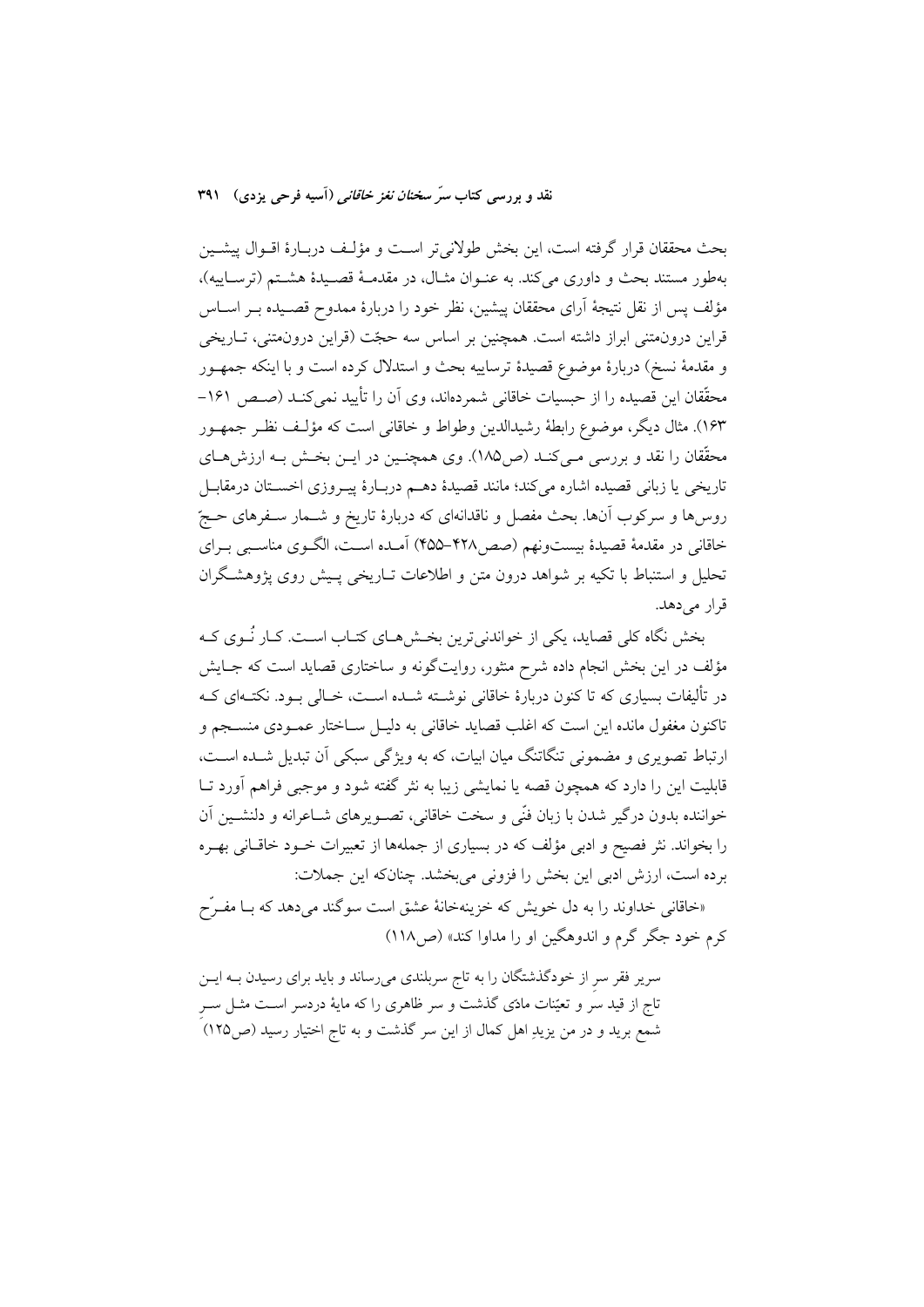بحث محققان قرار گرفته است، این بخش طولانی تر است و مؤلـف دربـارهٔ اقــوال پیشــین بهطور مستند بحث و داوري مي كند. به عنـوان مثـال، در مقدمـهٔ قصـيدهٔ هشـتم (ترسـاييه)، مؤلف پس از نقل نتیجهٔ آرای محققان پیشین، نظر خود را دربارهٔ ممدوح قصـیده بــر اســاس قراین درون.متنی ابراز داشته است. همچنین بر اساس سه حجّت (قراین درون.متنی، تــاریخی و مقدمهٔ نسخ) دربارهٔ موضوع قصیدهٔ ترساییه بحث و استدلال کرده است و با اینکه جمهـور محقّقان این قصیده را از حبسیات خاقانی شمردهاند، وی آن را تأیید نمیکنـد (صـص ۱۶۱– ۱۶۳). مثال دیگر، موضوع رابطهٔ رشیدالدین وطواط و خاقانی است که مؤلـف نظـر جمهــور محقِّقان را نقد و بررسی مـی کنـد (ص١٨٥). وی همچنـین در ایــن بخـش بـه ارزش،هــای تاريخي يا زباني قصيده اشاره ميكند؛ مانند قصيدهٔ دهـم دربـارهٔ پيـروزي اخسـتان درمقابـل روسها و سرکوب آنها. بحث مفصل و ناقدانهای که دربارهٔ تاریخ و شــمار سـفرهای حــجّ خاقانی در مقدمهٔ قصیدهٔ بیستونهم (صص۴۲۸–۴۵۵) آمـده اسـت، الگـوی مناسـبی بـرای تحلیل و استنباط با تکیه بر شواهد درون متن و اطلاعات تــاریخی پــیش روی پژوهشـگران قرار می دهد.

بخش نگاه کلی قصاید، یکی از خواندنی ترین بخـش۵مـای کتـاب اسـت. کـار نُــوی کــه مؤلف در این بخش انجام داده شرح منثور، روایتگونه و ساختاری قصاید است که جـایش در تألیفات بسیاری که تا کنون دربارهٔ خاقانی نوشــته شــده اســت، خــالی بــود. نکتــهای کــه تاكنون مغفول مانده اين است كه اغلب قصايد خاقاني به دليـل ســاختار عمــودي منســجم و ارتباط تصویری و مضمونی تنگاتنگ میان ابیات، که به ویژگی سبکی آن تبدیل شـده اسـت، قابلیت این را دارد که همچون قصه یا نمایشی زیبا به نثر گفته شود و موجبی فراهم آورد تــا خواننده بدون درگیر شدن با زبان فنّی و سخت خاقانی، تصـویرهای شـاعرانه و دلنشـین آن را بخواند. نثر فصیح و ادبی مؤلف که در بسیاری از جملهها از تعبیرات خــود خاقــانی بهــره برده است، ارزش ادبی این بخش را فزونی میبخشد. چنانکه این جملات:

«خاقانی خداوند را به دل خویش که خزینهخانهٔ عشق است سوگند می دهد که بــا مفــرّح کرم خود جگر گرم و اندوهگین او را مداوا کند» (ص۱۱۸)

سریر فقر سر از خودگذشتگان را به تاج سربلندی میرساند و باید برای رسیدن بـه ایـن تاج از قید سَر و تعیّنات مادّی گذشت و سر ظاهری را که مایهٔ دردسر اسـت مثــل ســر شمع برید و در من یزیدِ اهل کمال از این سر گذشت و به تاج اختیار رسید (ص۱۲۵)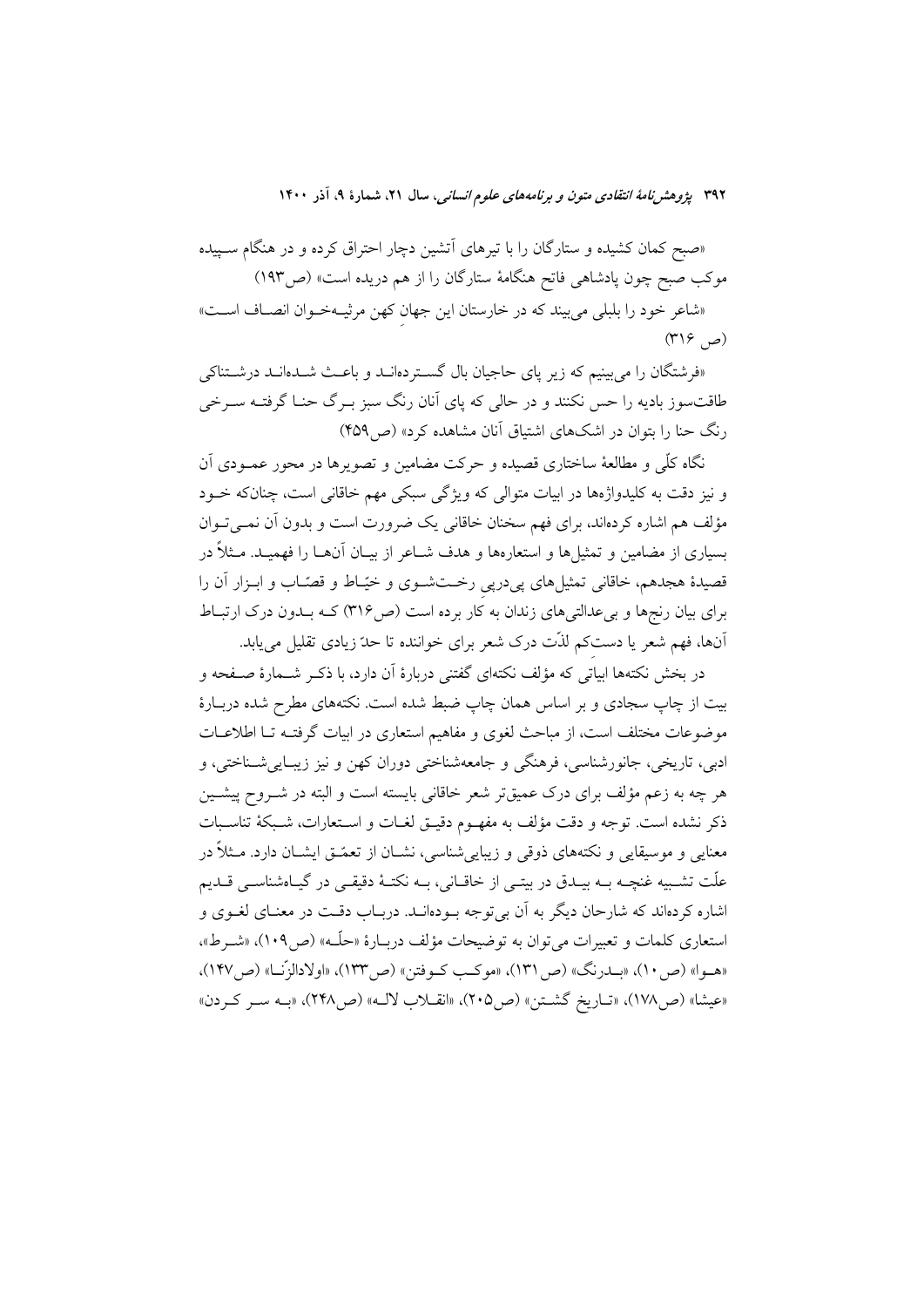«صبح کمان کشیده و ستارگان را با تیرهای آتشین دچار احتراق کرده و در هنگام سـپیده موکب صبح چون پادشاهی فاتح هنگامهٔ ستارگان را از هم دریده است» (ص۱۹۳) «شاعر خود را بلبلي مي بيند كه در خارستان اين جهان كهن مرثيـهخـوان انصـاف اسـت»  $(\mathfrak{m})$   $\mathfrak{S}$ 

«فرشتگان را می بینیم که زیر پای حاجیان بال گستردهانـد و باعـث شـدهانـد درشـتناکی طاقتسوز بادیه را حس نکنند و در حالی که پای آنان رنگ سبز بـرگ حنـا گرفتـه سـرخی رنگ حنا را بتوان در اشکهای اشتیاق آنان مشاهده کرد» (ص۴۵۹)

نگاه کلّی و مطالعهٔ ساختاری قصیده و حرکت مضامین و تصویرها در محور عمـودی اَن و نیز دقت به کلیدواژهها در ابیات متوالی که ویژگی سبکی مهم خاقانی است، چنانکه خـود مؤلف هم اشاره کردهاند، برای فهم سخنان خاقانی یک ضرورت است و بدون آن نمــی تــوان بسیاری از مضامین و تمثیلها و استعارهها و هدف شـاعر از بیــان آنهــا را فهمیــد. مــثلاً در قصیدهٔ هجدهم، خاقانی تمثیلهای پیدرپی رخـتشـوی و خیّـاط و قصّـاب و ابـزار آن را برای بیان رنجها و بیعدالتیهای زندان به کار برده است (ص۳۱۶) کـه بــدون درک ارتبــاط آنها، فهم شعر یا دستکم لذّت درک شعر برای خواننده تا حدّ زیادی تقلیل می یابد.

در بخش نکتهها ابیاتی که مؤلف نکتهای گفتنی دربارهٔ آن دارد، با ذکـر شــمارهٔ صــفحه و بیت از چاپ سجادی و بر اساس همان چاپ ضبط شده است. نکتههای مطرح شده دربـارهٔ موضوعات مختلف است، از مباحث لغوى و مفاهيم استعارى در ابيات گرفتـه تــا اطلاعــات ادبی، تاریخی، جانورشناسی، فرهنگی و جامعهشناختی دوران کهن و نیز زیبـاییشـناختی، و هر چه به زعم مؤلف برای درک عمیقتر شعر خاقانی بایسته است و البته در شــروح پیشــین ذكر نشده است. توجه و دقت مؤلف به مفهـوم دقيـق لغـات و اسـتعارات، شـبكهٔ تناسـبات معنایی و موسیقایی و نکتههای ذوقی و زیبایی شناسی، نشــان از تعمّــق ایشــان دارد. مــثلاً در علّت تشـبیه غنچــه بــه بیــدق در بیتــی از خاقــانی، بــه نکتــهٔ دقیقــی در گیــاهشناســی قــدیم اشاره کردهاند که شارحان دیگر به آن بی توجه بودهانــد. دربــاب دقــت در معنــای لغــوی و استعاري كلمات و تعبيرات مي توان به توضيحات مؤلف دربـارهٔ «حلّـه» (ص١٠٩)، «شـرط»، «هـوا» (ص ١٠)، «بــدرنگ» (ص ١٣١)، «موكـب كــوفتن» (ص ١٣٣)، «اولادالزِّنــا» (ص ١٤٧)، «عيشا» (ص١٧٨)، «تــاريخ گشــتن» (ص٢٠٥)، «انقــلاب لالــه» (ص٢۴٨)، «بــه ســر كــردن»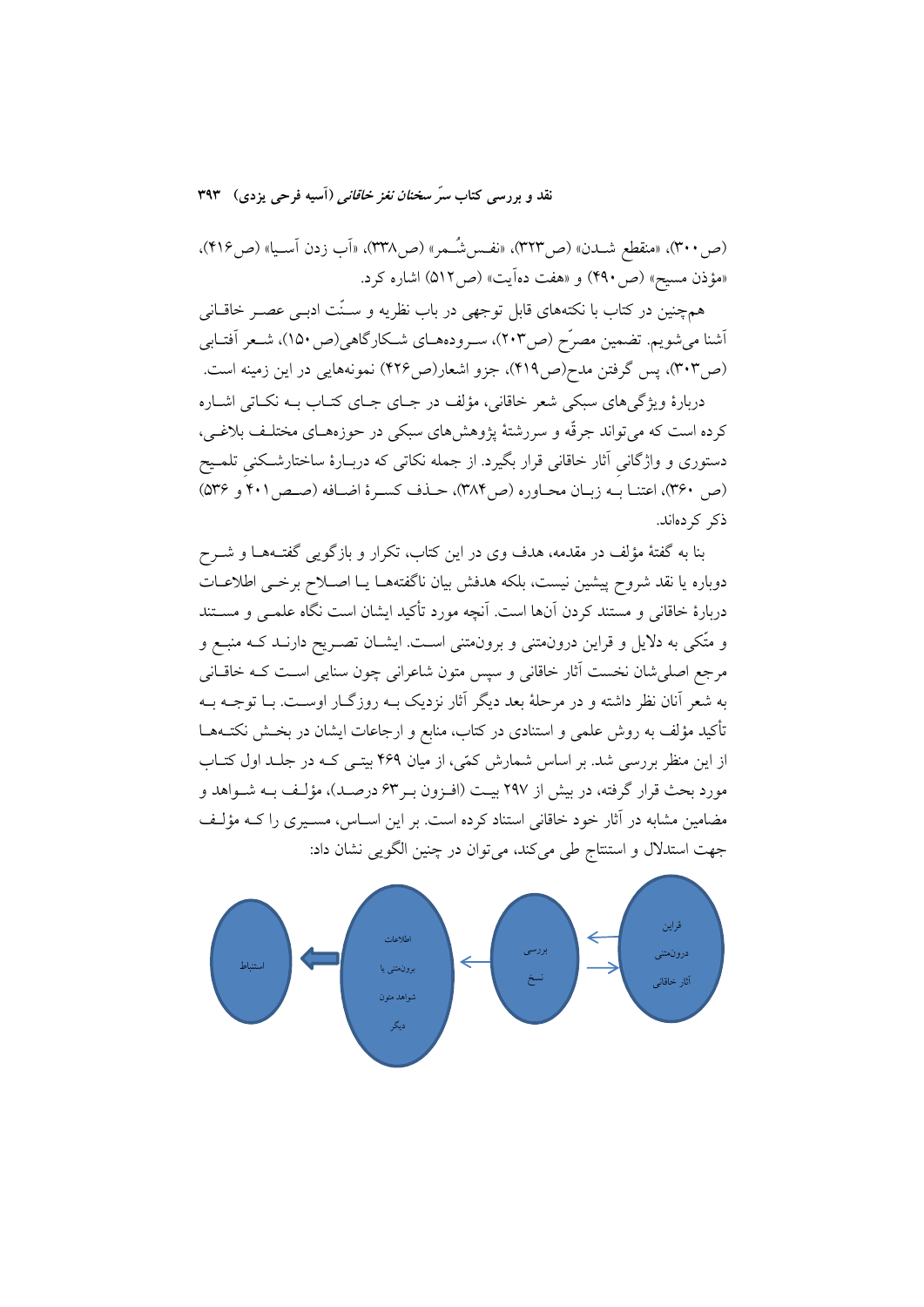(ص ٣٠٠)، «منقطع شــدن» (ص٣٢٣)، «نفــسشـَـمر» (ص٣٣٨)، «أب زدن أســيا» (ص١٢١۶)، «مؤذن مسيح» (ص ۴۹۰) و «هفت دهآيت» (ص ۵۱۲) اشاره كرد.

همچنین در کتاب با نکتههای قابل توجهی در باب نظریه و سـنّت ادبـی عصـر خاقــانی أشنا میشویم. تضمین مصرّح (ص٢٠٣)، سـرودههـای شـكارگاهی(ص ١٥٠)، شـعر أفتـابی (ص٣٠٣)، پس گرفتن مدح(ص٣١٩)، جزو اشعار(ص٣٢۶) نمونههايي در اين زمينه است.

دربارهٔ ویژگی های سبکی شعر خاقانی، مؤلف در جبای جبای کتباب ببه نکباتی اشباره کرده است که میتواند جرقّه و سررشتهٔ پژوهشهای سبکی در حوزههـای مختلـف بلاغـی، دستوری و واژگانی آثار خاقانی قرار بگیرد. از جمله نکاتی که دربـارهٔ ساختارشـکنی تلمـیح (ص ٣۶٠)، اعتنـا بــه زبـان محـاوره (ص٣٨۴)، حـذف كسـرة اضـافه (صـص٢٠١ و ٣٤٥) ذکر کے دماند.

بنا به گفتهٔ مؤلف در مقدمه، هدف وی در این کتاب، تکرار و بازگویی گفت+هـا و شــرح دوباره يا نقد شروح پيشين نيست، بلكه هدفش بيان ناگفتههـا يـا اصـلاح برخـى اطلاعـات دربارهٔ خاقانی و مستند کردن آنها است. آنچه مورد تأکید ایشان است نگاه علمـی و مســتند و متّکی به دلایل و قراین درونهتنی و برونهتنی اسـت. ایشــان تصــریح دارنــد کــه منبــع و مرجع اصلي شان نخست آثار خاقاني و سيس متون شاعراني چون سنايي است كـه خاقــاني به شعر آنان نظر داشته و در مرحلهٔ بعد دیگر آثار نزدیک بـه روزگـار اوسـت. بـا توجـه بـه تأکید مؤلف به روش علمی و استنادی در کتاب، منابع و ارجاعات ایشان در بخــش نکتــههــا از این منظر بررسی شد. بر اساس شمارش کمّی، از میان ۴۶۹ بیتبی کـه در جلـد اول کتـاب مورد بحث قرار گرفته، در بیش از ۲۹۷ بیــت (افـزون بـر۶۳ درصــد)، مؤلـف بــه شــواهد و مضامین مشابه در آثار خود خاقانی استناد کرده است. بر این اسـاس، مسـیری را کـه مؤلـف جهت استدلال و استنتاج طی میکند، میتوان در چنین الگویی نشان داد:

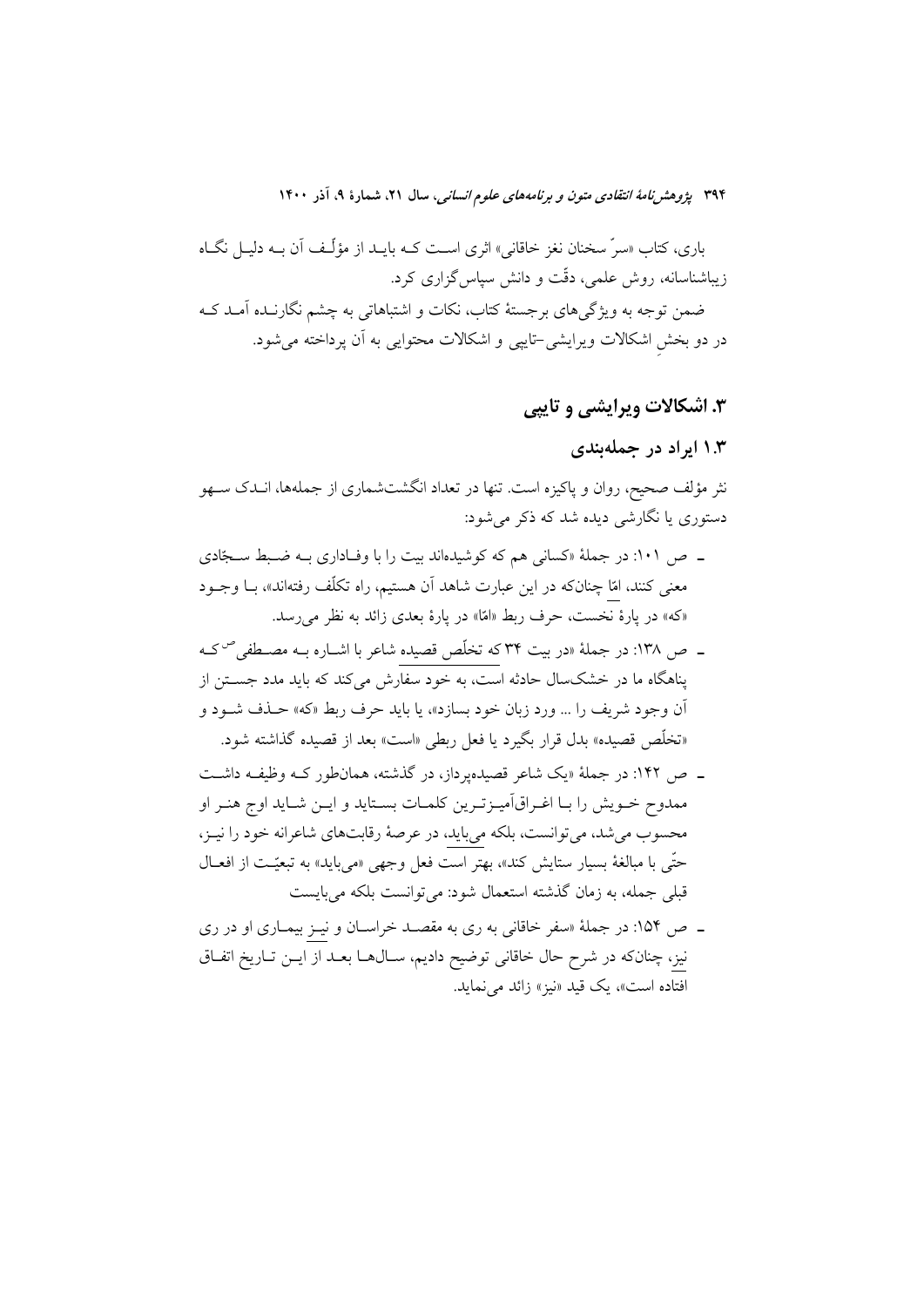باری، کتاب «سرّ سخنان نغز خاقانی» اثری اسـت کــه بایــد از مؤلّــف آن بــه دلیــل نگــاه زیباشناسانه، روش علمی، دقّت و دانش سیاس گزاری کرد.

ضمن توجه به ویژگیهای برجستهٔ کتاب، نکات و اشتباهاتی به چشم نگارنـده اَمـد کـه در دو بخش اشکالات ویرایشی-تایپی و اشکالات محتوایی به آن پرداخته می شود.

## ۳. اشکالات ویرایشی و تایپی

## ۱.۳ ایراد در جملهبندی

نثر مؤلف صحیح، روان و پاکیزه است. تنها در تعداد انگشتشماری از جملهها، انــدک ســهو دستوري يا نگارشي ديده شد که ذکر مي شود:

- ـ ص ١٠١: در جملهٔ «كساني هم كه كوشيدهاند بيت را با وفـاداري بـه ضـبط سـجّادي معنی کنند، امّا چنانکه در این عبارت شاهد اَن هستیم، راه تکلّف رفتهاند»، بــا وجــود «كه» در يارهٔ نخست، حرف ربط «امّا» در يارهٔ بعدي زائد به نظر مي رسد.
- ــ ص ۱۳۸: در جملهٔ «در بیت ۳۴ که تخلّص قصیده شاعر با اشــاره بــه مصــطفی<sup>ص</sup>کــه پناهگاه ما در خشکسال حادثه است، به خود سفارش میکند که باید مدد جسـتن از اّن وجود شريف را ... ورد زبان خود بسازد»، يا بايد حرف ربط «كه» حـذف شــود و «تخلَّص قصیده» بدل قرار بگیرد یا فعل ربطی «است» بعد از قصیده گذاشته شود.
- ـ ص ۱۴۲: در جملهٔ «یک شاعر قصیدهیرداز، در گذشته، همانطور کـه وظیفـه داشـت ممدوح خـويش را بـا اغـراق|َميـزتـرين كلمـات بسـتايد و ايـن شـايد اوج هنـر او محسوب میشد، می توانست، بلکه میباید، در عرصهٔ رقابتهای شاعرانه خود را نیـز، حتّى با مبالغهٔ بسيار ستايش كند»، بهتر است فعل وجهى «مىبايد» به تبعيّـت از افعــال قبلی جمله، به زمان گذشته استعمال شود: میتوانست بلکه میبایست
- ـ ص ۱۵۴: در جملهٔ «سفر خاقانی به ری به مقصـد خراسـان و نیـز بیمـاری او در ری نیز، چنانکه در شرح حال خاقانی توضیح دادیم، سـالهـا بعـد از ایــن تـاریخ اتفـاق افتاده است»، یک قید «نیز» زائد می نماید.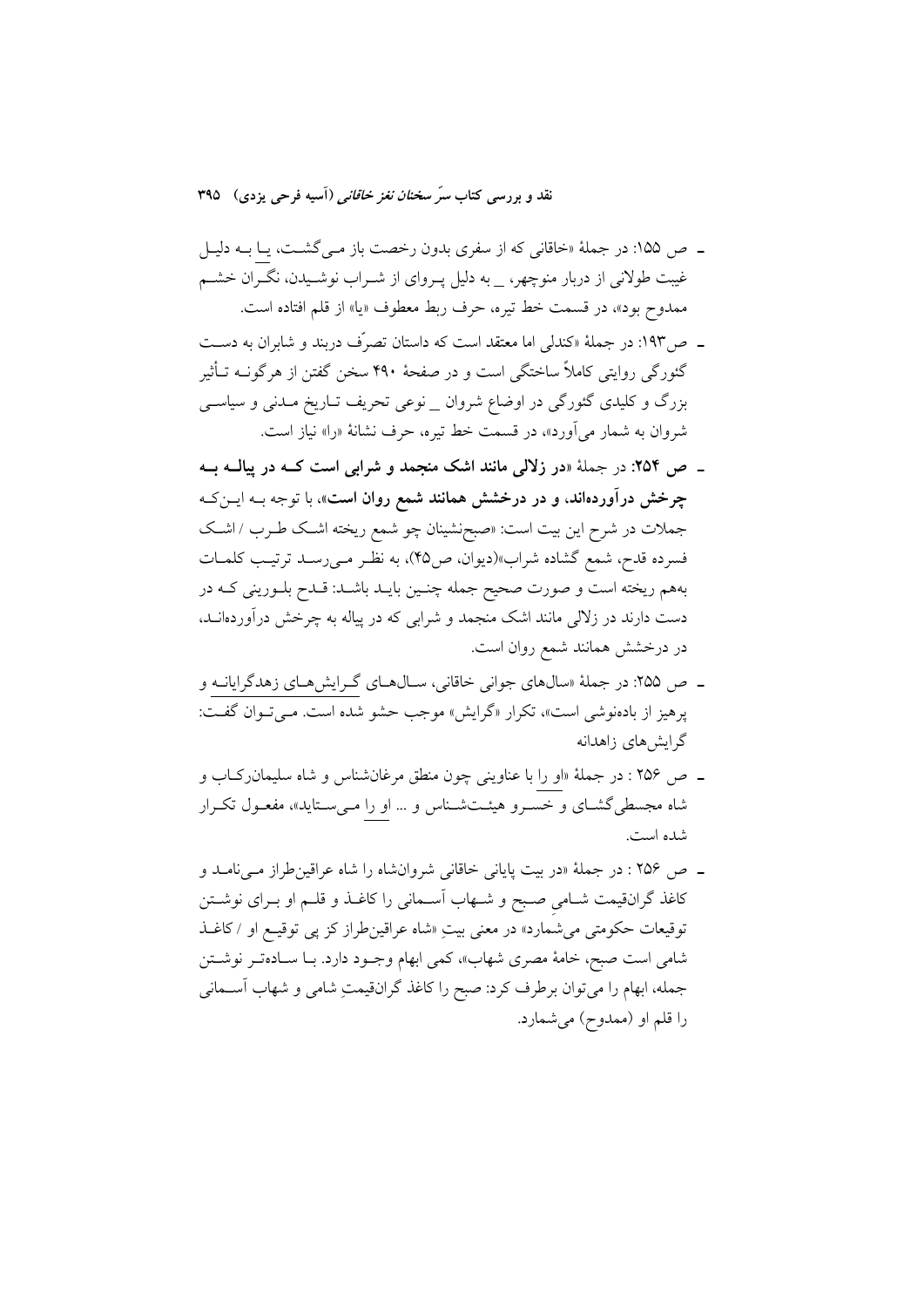- ـ ص ۱۵۵: در جملهٔ «خاقانی که از سفری بدون رخصت باز مـیگشـت، یـا بــه دلیـل غیبت طولانی از دربار منوچهر، \_ به دلیل پــروای از شــراب نوشــیدن، نگــران خشــم ممدوح بود»، در قسمت خط تیره، حرف ربط معطوف «یا» از قلم افتاده است.
- ـــ ص١٩٣: در جملة «كندلي اما معتقد است كه داستان تصرَّف دربند و شابران به دســت گئورگی روایتی کاملاً ساختگی است و در صفحهٔ ۴۹۰ سخن گفتن از هرگونــه تــأثیر بزرگ و کلیدی گئورگی در اوضاع شروان \_نوعی تحریف تـاریخ مـدنی و سیاسـی شروان به شمار می آورد»، در قسمت خط تیره، حرف نشانهٔ «را» نیاز است.
- ۔ ص ۲۵۴: در جملهٔ «در زلالی مانند اشک منجمد و شرابی است کــه در پیالــه بــه چرخش درآوردهاند، و در درخشش همانند شمع روان است»، با توجه بــه ایــنکـه جملات در شرح این بیت است: «صبحنشینان چو شمع ریخته اشک طـرب / اشـک فسرده قدح، شمع گشاده شراب»(دیوان، ص۴۵)، به نظـر مـیرسـد ترتیـب کلمـات بههم ريخته است و صورت صحيح جمله چنـين بايــد باشــد: قــدح بلــوريني كــه در دست دارند در زلالی مانند اشک منجمد و شرابی که در پیاله به چرخش درآوردهانــد، در درخشش همانند شمع روان است.
- ـ ص ۲۵۵: در جملهٔ «سالهای جوانی خاقانی، سـالهـای گـرایشهـای زهدگرایانــه و پرهیز از بادهنوشی است»، تکرار «گرایش» موجب حشو شده است. مـیتـوان گفـت: گرایش های زاهدانه
- ـ ص ٢۵۶ : در جملهٔ «او را با عناويني چون منطق مرغانشناس و شاه سليمان ركـاب و شاه مجسطی گشـای و خسـرو هیئـتشـناس و … او را مـیسـتاید»، مفعـول تکـرار شده است.
- ـ ص ٢۵۶ : در جملهٔ «در بيت پاياني خاقاني شروانشاه را شاه عراقين طراز مـيiمـد و کاغذ گرانقیمت شـامی صـبح و شـهاب اَسـمانی را کاغـذ و قلـم او بـرای نوشـتن توقيعات حكومتي مي شمارد» در معنى بيتِ «شاه عراقين طراز كز پي توقيـع او /كاغـذ شامی است صبح، خامهٔ مصری شهاب»، کمی ابهام وجـود دارد. بـا سـادهتـر نوشــتن جمله، ابهام را ميتوان برطرف كرد: صبح را كاغذ گرانقيمتِ شامي و شهاب أســماني را قلم او (ممدوح) میشمارد.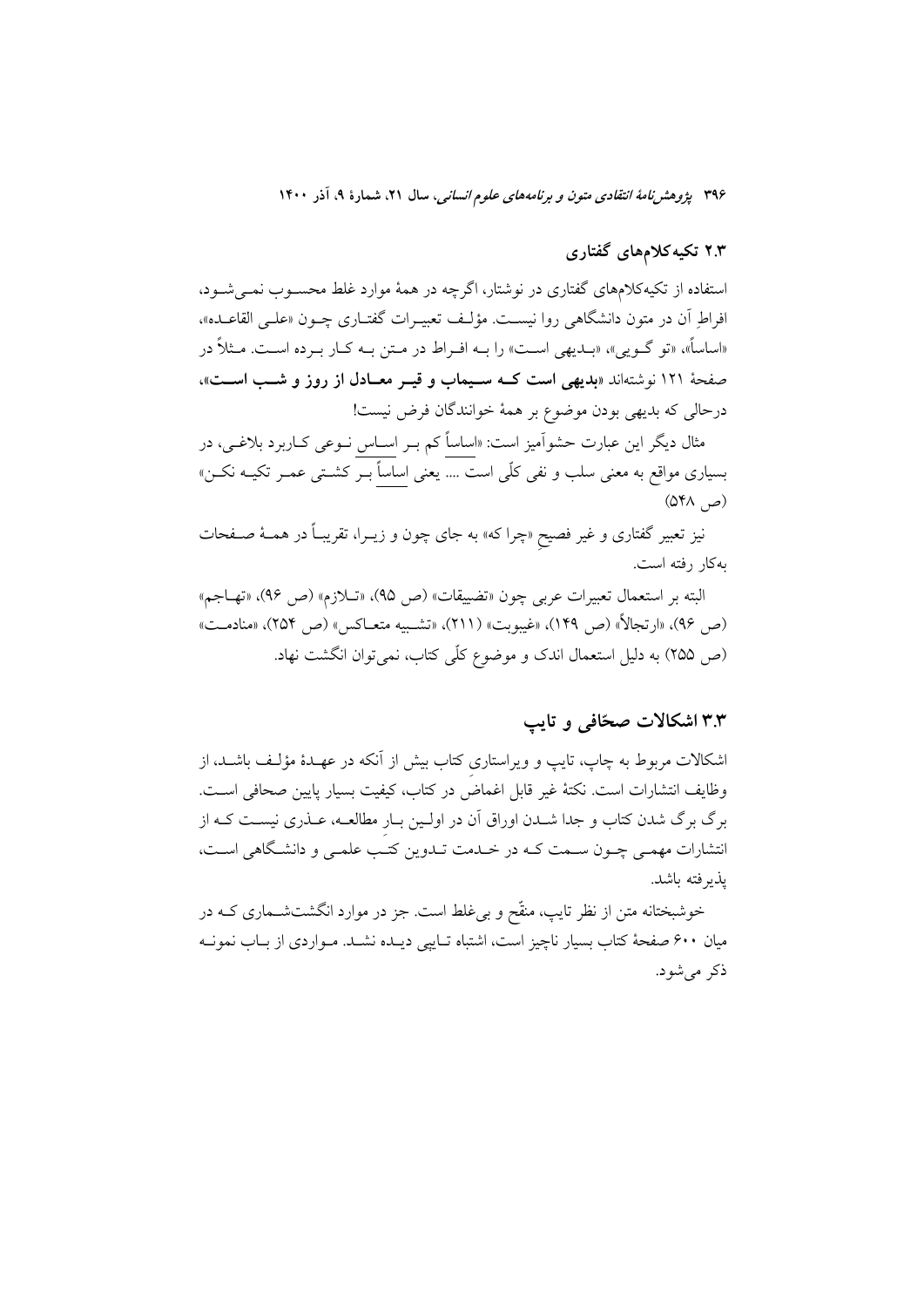## ۲.۳ تکیه کلامهای گفتاری

استفاده از تکیهکلامهای گفتاری در نوشتار، اگرچه در همهٔ موارد غلط محسـوب نمـی شـود، افراط أن در متون دانشگاهی روا نیسـت. مؤلـف تعبیـرات گفتـاری چـون «علـی القاعــده». «اساساً»، «تو گـویی»، «بــدیهی اسـت» را بــه افــراط در مــتن بــه کــار بــرده اســت. مــثلاً در صفحهٔ ۱۲۱ نوشتهاند «بدیهی است کـه سـیماب و قیـر معـادل از روز و شـب اسـت»، درحالي كه بديهي بودن موضوع بر همهٔ خوانندگان فرض نيست!

مثال دیگر این عبارت حشواَمیز است: «اساساً کم بــر اســاس نــوعی کــاربرد بلاغــی، در بسیاری مواقع به معنی سلب و نفی کلّی است .... یعنی اساساً بــر کشــتی عمــر تکیــه نکــن»  $(QY_A, \Delta)$ 

نیز تعبیر گفتاری و غیر فصیح «چرا که» به جای چون و زیــرا، تقریبـاً در همــهٔ صــفحات به کار رفته است.

البته بر استعمال تعبيرات عربي چون «تضييقات» (ص ٩٥)، «تـلازم» (ص ٩۶)، «تهـاجم» (ص ٩۶)، «ارتجالاً» (ص ١۴٩)، «غيبوبت» (٢١١)، «تشـبيه متعــاكس» (ص ٢٥۴)، «منادمــت» (ص ٢٥٥) به دليل استعمال اندک و موضوع کلّی کتاب، نمی توان انگشت نهاد.

#### ۳.۳ اشکالات صحّافی و تایب

اشکالات مربوط به چاپ، تایپ و ویراستاری کتاب بیش از آنکه در عهـدهٔ مؤلـف باشــد، از وظايف انتشارات است. نكتهٔ غير قابل اغماض در كتاب، كيفيت بسيار يايين صحافي است. برگ برگ شدن کتاب و جدا شـدن اوراق آن در اولـین بـار مطالعـه، عــذری نیسـت کــه از انتشارات مهمـي چـون سـمت كـه در خـلـمت تـلـوين كتـب علمـي و دانشـگاهي اسـت، يذبر فته باشد.

خوشبختانه متن از نظر تایپ، منقّح و بی غلط است. جز در موارد انگشتشــماری کــه در میان ۶۰۰ صفحهٔ کتاب بسیار ناچیز است، اشتباه تــایپی دیــده نشــد. مــواردی از بــاب نمونــه ذکر می شود.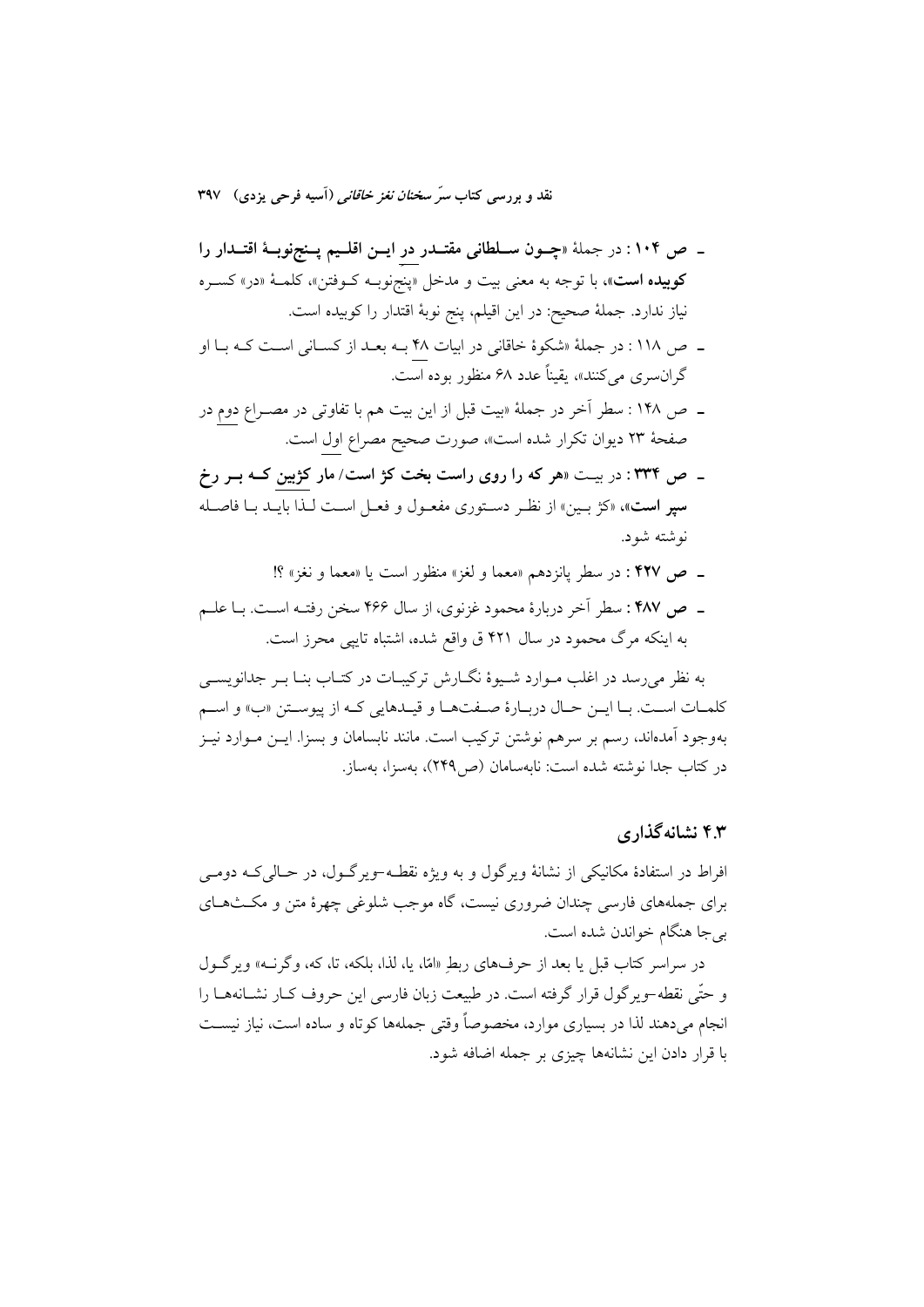- ـ ص ۱۰۴ : در جملهٔ «چــون ســلطانی مقتــدر در ایــن اقلــیم پــنجنوبــهٔ اقتــدار را کوييده است»، با توجه به معنى بيت و مدخل «پنجنوبـه کـوفتن»، کلمـهٔ «در» کسـره نياز ندارد. جملهٔ صحيح: در اين اقيلم، پنج نوبهٔ اقتدار را كوبيده است.
- ـ ص ١١٨: در جملة «شكوة خاقاني در ابيات ۴۸ بــه بعــد از كســاني اســت كــه بــا او گران سری میکنند»، یقیناً عدد ۶۸ منظور بوده است.
- ـ ص ١۴٨ : سطر آخر در جملهٔ «بيت قبل از اين بيت هم با تفاوتي در مصـراع دوم در صفحهٔ ۲۳ دیوان تکرار شده است»، صورت صحیح مصراع اول است.
- ـ ص ٣٣٤: در بيـت «هر كه را روى راست بخت كژ است/ مار كژبين كــه بــر رخ **سير است**»، «كَرّْ بِـين» از نظـر دسـتوري مفعـول و فعـل اسـت لـذا بايـد بـا فاصـله نه شته شه د.
	- ـ ص ۴۲۷ : در سطر يانزدهم «معما و لغز» منظور است يا «معما و نغز» ؟!
- ـ ص ۴۸۷: سطر آخر دربارهٔ محمود غزنوي، از سال ۴۶۶ سخن رفتـه اسـت. بـا علـم به اینکه مرگ محمود در سال ۴۲۱ ق واقع شده، اشتباه تایپی محرز است.

به نظر می رسد در اغلب مـوارد شـيوهٔ نگــارش تركيبــات در كتــاب بنــا بــر جدانويســي كلمـات اسـت. بـا ايــن حــال دربــارهٔ صــفتهــا و قيــدهايي كــه از پيوســتن «ب» و اســم بهوجود أمدهاند، رسم بر سرهم نوشتن ترکیب است. مانند نابسامان و بسزا. ایــن مــوارد نیــز در كتاب جدا نوشته شده است: نابهسامان (ص۳۴۹)، بهسزا، بهساز.

#### ۴.۳ نشانه گذاری

افراط در استفادهٔ مکانیکی از نشانهٔ ویرگول و به ویژه نقطـه-ویرگـول، در حـالی کـه دومـی برای جملههای فارسی چندان ضروری نیست، گاه موجب شلوغی چهرهٔ متن و مکـثهـای بي جا هنگام خواندن شده است.

در سراسر کتاب قبل یا بعد از حرفهای ربطِ «امّا، یا، لذا، بلکه، تا، که، وگرنــه» ویرگــول و حتّى نقطه-ويو گول قرار گرفته است. در طبيعت زبان فارسي اين حروف كـار نشــانههــا را انجام میدهند لذا در بسیاری موارد، مخصوصاً وقتی جملهها کوتاه و ساده است، نیاز نیست با قرار دادن این نشانهها چیزی بر جمله اضافه شود.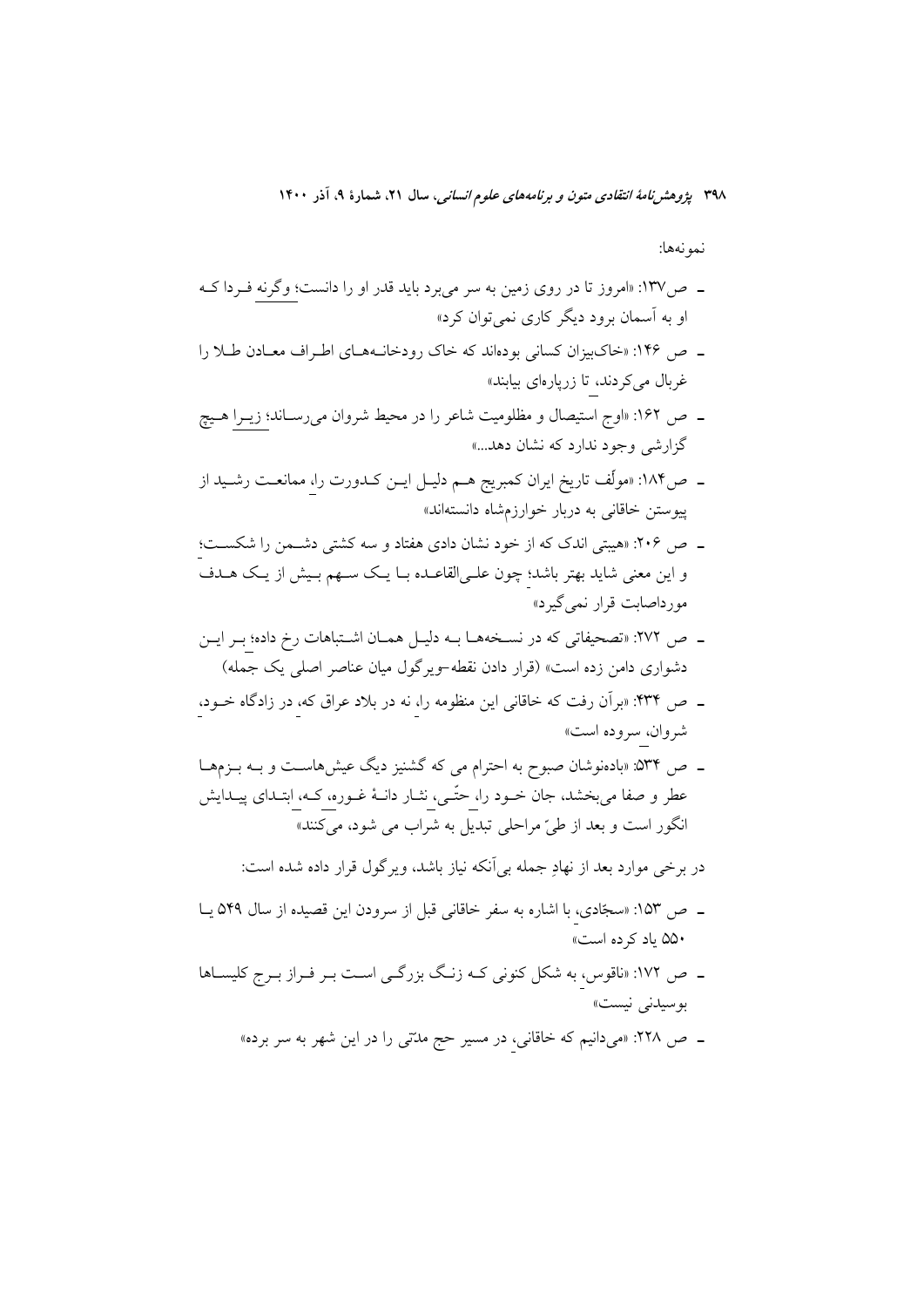نمونهها:

- ـ ص١٣٧: «امروز تا در روى زمين به سر مىبرد بايد قدر او را دانست؛ وگرنه فـردا كــه او به آسمان برود دیگر کاری نمی توان کرد»
- ـ ص ۱۴۶: «خاکبیزان کسانی بودهاند که خاک رودخانـههـای اطـراف معـادن طـلا را غربال می کردند، تا زریارهای بیابند»
- ـ ص ۱۶۲: «اوج استیصال و مظلومیت شاعر را در محیط شروان میرسـاند؛ زیــرا هــیچ گزارشی وجود ندارد که نشان دهد...»
- ـ ص۱۸۴: «مولِّف تاريخ ايران كمبريج هــم دليــل ايــن كــدورت را، ممانعــت رشــيد از پیوستن خاقانی به دربار خوارزمشاه دانستهاند»
- ـ ص ٢٠۶: «هيبتي اندک که از خود نشان دادي هفتاد و سه کشتي دشـمن را شکسـت؛ و این معنی شاید بهتر باشد؛ چون علـی|لقاعـده بـا یـک سـهم بـیش از یـک هـدف مورداصابت قرار نمي گيرد»
- ـ ص ٢٧٢: «تصحيفاتي كه در نسـخههـا بـه دليـل همـان اشـتباهات رخ داده؛ بـر ايـن دشواری دامن زده است» (قرار دادن نقطه-ویرگول میان عناصر اصلی یک جمله)
- ـ ص ۴۳۴: «برآن رفت كه خاقاني اين منظومه را، نه در بلاد عراق كه، در زادگاه خــود، شروان، سروده است»
- ـ ص ۵۳۴: «بادهنوشان صبوح به احترام می که گشنیز دیگ عیشhماسـت و بــه بــزمهــا عطر و صفا میبخشد، جان خــود را، حتّــی، نشـار دانــهٔ غــوره، کــه، ابتــدای پیــدایش انگور است و بعد از طيّ مراحلي تبديل به شراب مي شود، مي كنند»
	- در برخی موارد بعد از نهادِ جمله بی اَنکه نیاز باشد، ویرگول قرار داده شده است:
- ـ ص ١۵٣: «سجّادى، با اشاره به سفر خاقانى قبل از سرودن اين قصيده از سال ٥۴٩ يـا ۵۵۰ یاد کرده است»
- ـ ص ١٧٢: «ناقوس، به شکل کنونی کـه زنـگ بزرگـی اسـت بـر فـراز بـرج کلیسـاها بوسیدنی نیست»
	- ـ ص ۲۲۸: «میدانیم که خاقانی، در مسیر حج مدتی را در این شهر به سر برده»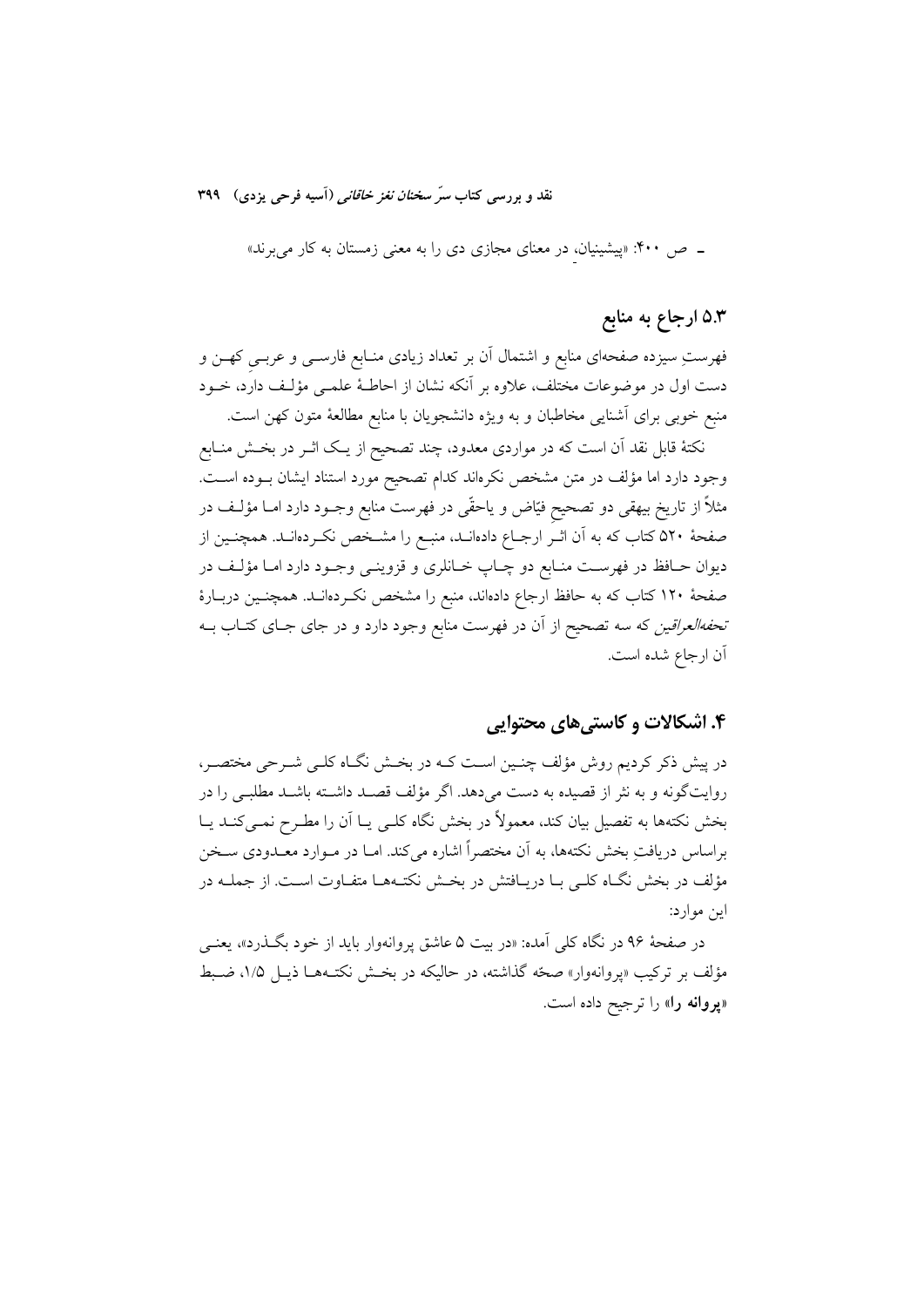ـ ص ۴۰۰: «پیشینیان، در معنای مجازی دی را به معنی زمستان به کار می برند»

# ۵.۳ ارجاع به منابع

فهرستِ سیزده صفحهای منابع و اشتمال آن بر تعداد زیادی منـابع فارســی و عربــی کهــن و دست اول در موضوعات مختلف، علاوه بر آنکه نشان از احاطـهٔ علمــی مؤلـف دارد، خــود منبع خوبی برای آشنایی مخاطبان و به ویژه دانشجویان با منابع مطالعهٔ متون کهن است.

نکتهٔ قابل نقد آن است که در مواردی معدود، چند تصحیح از یـک اثــر در بخــش منــابع وجود دارد اما مؤلف در متن مشخص نکرهاند کدام تصحیح مورد استناد ایشان بــوده اســت. مثلاً از تاریخ بیهقی دو تصحیح فیّاض و یاحقّی در فهرست منابع وجـود دارد امــا مؤلـف در صفحهٔ ۵۲۰ کتاب که به آن اثـر ارجـاع دادهانــد، منبــع را مشــخص نکــردهانــد. همچنــین از دیوان حــافظ در فهرســت منــابع دو چــاپ خــانلری و قزوینــی وجــود دارد امــا مؤلــف در صفحهٔ ۱۲۰ کتاب که به حافظ ارجاع دادهاند، منبع را مشخص نکـردهانــد. همچنــین دربــارهٔ *تحفهالعراقین* که سه تصحیح از آن در فهرست منابع وجود دارد و در جای جــای کتــاب بــه اّن ارجاع شده است.

## ۴. اشکالات و کاستی های محتوایی

در پیش ذکر کردیم روش مؤلف چنـین اسـت کــه در بخـش نگــاه کلــی شــرحی مختصــر، روایتگونه و به نثر از قصیده به دست میدهد. اگر مؤلف قصـد داشــته باشــد مطلبــی را در بخش نکتهها به تفصیل بیان کند، معمولاً در بخش نگاه کلـی یـا آن را مطـرح نمـیکنـد یـا براساس دریافتِ بخش نکتهها، به آن مختصراً اشاره می کند. امــا در مــوارد معــدودی ســخن مؤلف در بخش نگـاه كلـي بـا دريـافتش در بخـش نكتـههـا متفـاوت اسـت. از جملــه در اين موارد:

در صفحهٔ ۹۶ در نگاه کل<sub>ی</sub> آمده: «در بیت ۵ عاشق پروانهوار باید از خود بگـذرد»، یعنــی مؤلف بر ترکیب «پروانهوار» صحّه گذاشته، در حالیکه در بخـش نکتـههــا ذیــل ۱/۵، ضـبط «پروانه را» را ترجیح داده است.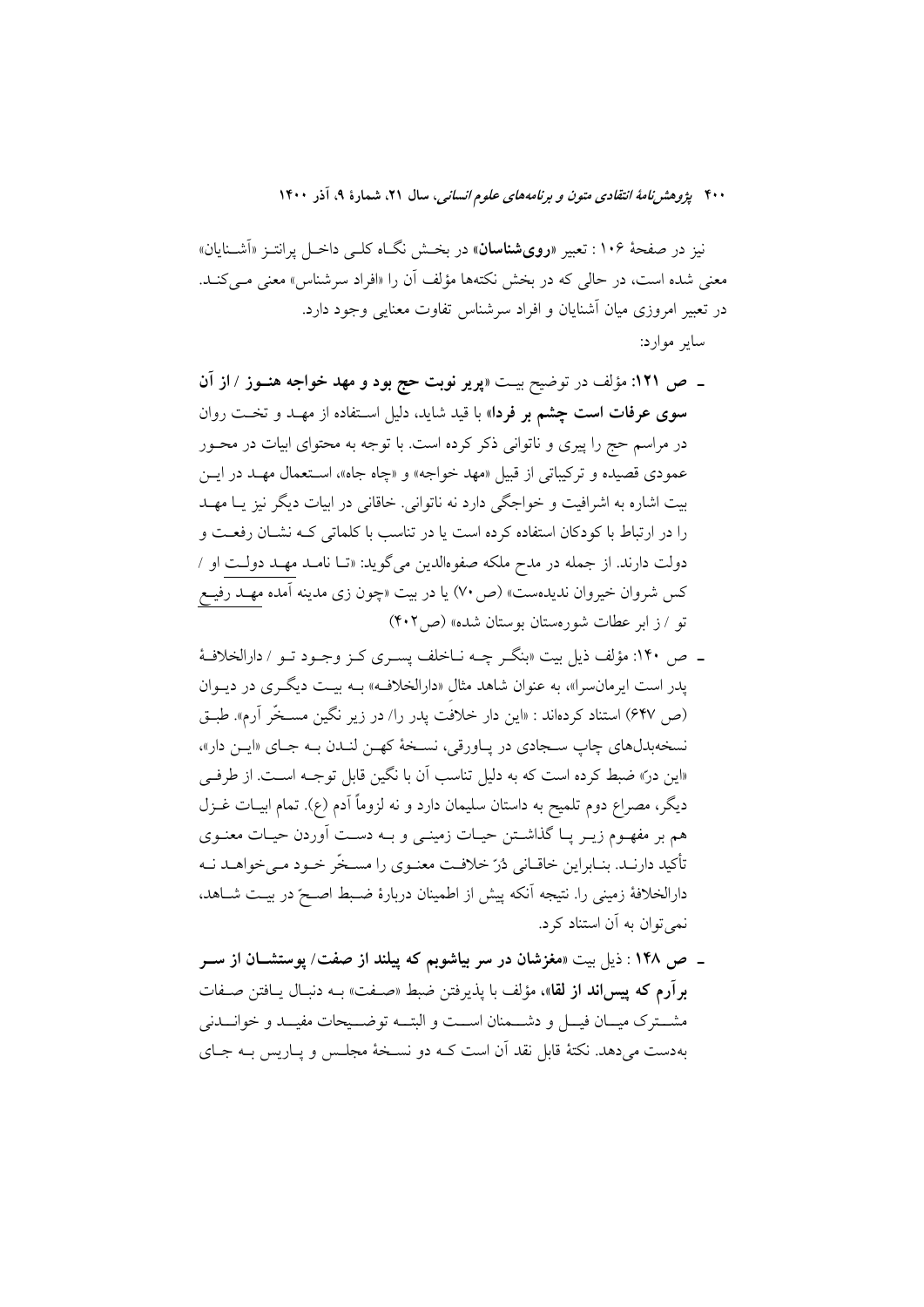نیز در صفحهٔ ۱۰۶ : تعبیر «**رویشناسان**» در بخـش نگـاه کلـی داخـل پرانتـز «آشــنایان» معنى شده است، در حالي كه در بخش نكتهها مؤلف آن را «افراد سرشناس» معنى مـي كنـد. در تعبير امروزي ميان آشنايان و افراد سرشناس تفاوت معنايي وجود دارد. ساير موارد:

- ـ ص ١٢١: مؤلف در توضيح بيـت «پرير نوبت حج بود و مهد خواجه هنــوز / از آن **سوی عرفات است چشم بر فردا**» با قید شاید، دلیل استفاده از مهـد و تخـت روان در مراسم حج را پیری و ناتوانی ذکر کرده است. با توجه به محتوای ابیات در محـور عمودي قصيده و تركيباتي از قبيل «مهد خواجه» و «چاه جاه»، استعمال مهـد در ايــن بیت اشاره به اشرافیت و خواجگی دارد نه ناتوانی. خاقانی در ابیات دیگر نیز یـا مهــد را در ارتباط با کودکان استفاده کرده است یا در تناسب با کلماتی کـه نشـان رفعـت و دولت دارند. از جمله در مدح ملکه صفوهالدین میگوید: «تــا نامــد مهــد دولــت او / کس شروان خیروان ندیدهست» (ص ۷۰) یا در بیت «چون زی مدینه آمده مهـد رفیـع تو / ز ابر عطات شورهستان بوستان شده» (ص ۴۰۲)
- ۔ ص ۱۴۰: مؤلف ذیل بیت «بنگ چـه نــاخلف پســری کــز وجـود تــو / دارالخلافـهٔ پدر است ایرمان سرا»، به عنوان شاهد مثال «دارالخلاف» بـه بیـت دیگـری در دیـوان (ص ۶۴۷) استناد کردهاند : «این دار خلافت یدر را/ در زیر نگین مســخَر آرم». طبــق نسخهبدلهاي چاپ سـجادي در پـاورقي، نسـخهٔ كهـن لنـدن بـه جـاي «ايـن دار»، «این در» ضبط کرده است که به دلیل تناسب آن با نگین قابل توجـه اسـت. از طرفـی دیگر، مصراع دوم تلمیح به داستان سلیمان دارد و نه لزوماً آدم (ع). تمام ابیــات غــزل هم بر مفهـوم زيـر پـا گذاشـتن حيـات زمينـي و بـه دسـت آوردن حيـات معنـوي تأکید دارنـد. بنـابراین خاقـانی دُرّ خلافـت معنـوی را مسـخّر خـود مـی خواهـد نـه دارالخلافهٔ زمینی را. نتیجه اَنکه پیش از اطمینان دربارهٔ ضـبط اصـحّ در بیـت شــاهد، نمي توان به اَن استناد کرد.
- ـ ص ۱۴۸ : ذيل بيت «مغزشان در سر بياشوبم كه پيلند از صفت/ يوستشــان از ســر برآرم كه پيس اند از لقا»، مؤلف با يذيرفتن ضبط «صفت» بــه دنبـال يــافتن صــفات مشترک میسان فیسل و دشتمنان است و البتسه توضیحات مفیسد و خوانسدنی بهدست میدهد. نکتهٔ قابل نقد آن است کـه دو نسـخهٔ مجلـس و پــاریس بــه جــای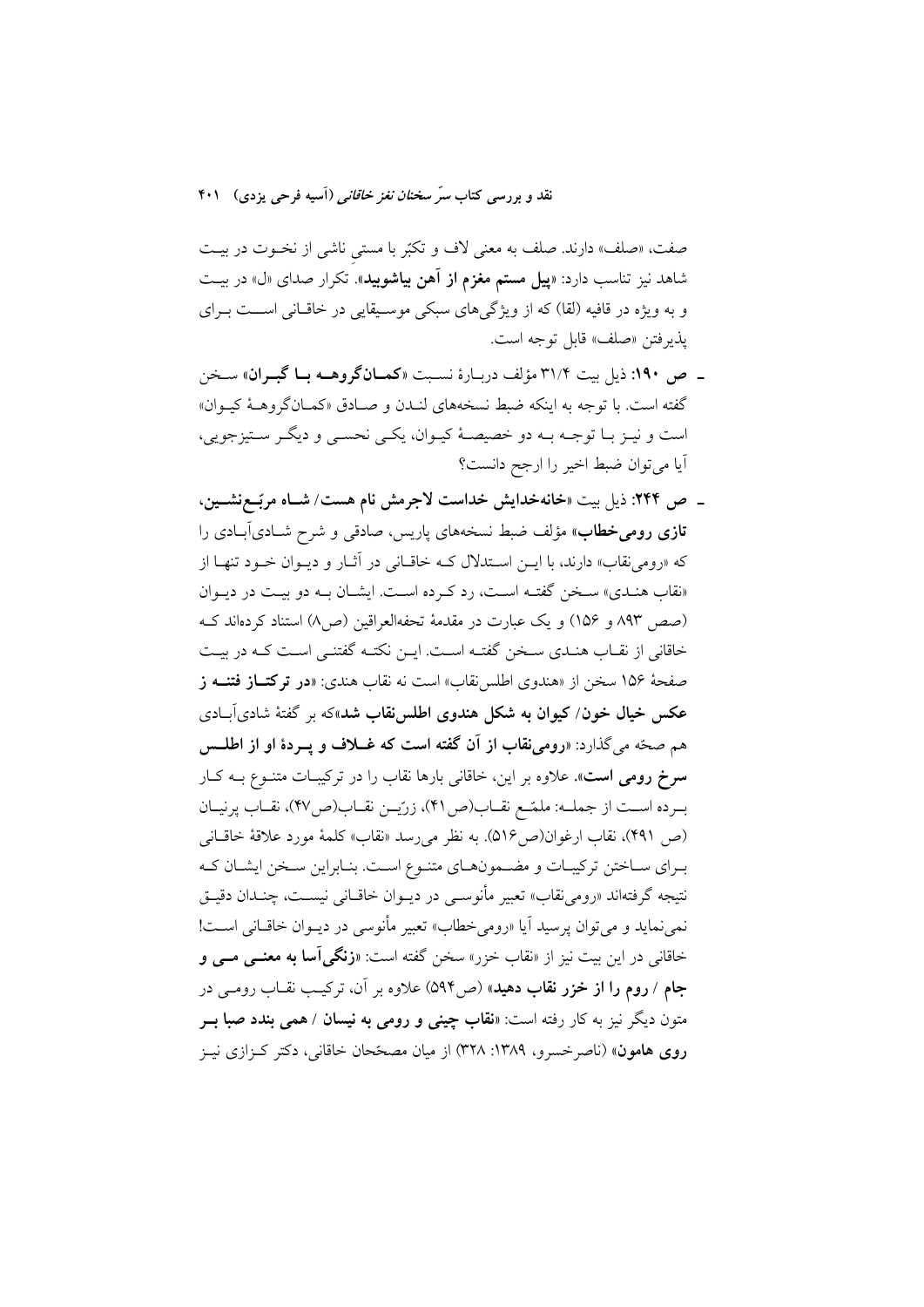صفت، «صلف» دارند. صلف به معنى لاف و تكبّر با مستى ناشى از نخــوت در بيــت شاهد نیز تناسب دارد: «**پیل مستم مغزم از آهن بیاشوبید**». تکرار صدای «ل» در بیـت و به ویژه در قافیه (لقا) که از ویژگیهای سبکی موسیقایی در خاقانی است بـرای يذيرفتن «صلف» قابل توجه است.

- ـ ص ١٩٠: ذيل بيت ٣١/٢ مؤلف دربـارة نسـبت «كمـانگروهــه بـا گبــران» سـخن گفته است. با توجه به اینکه ضبط نسخههای لنیدن و صبادق «کمیانگروهیهٔ کیبوان» است و نيـز بـا توجـه بـه دو خصيصـهٔ كيـوان، يكـي نحسـي و ديگـر سـتيزجويي، آيا مي توان ضبط اخير را ارجح دانست؟
- ـ ص ۲۴۴: ذیل بیت «خانهخدایش خداست لاجرمش نام هست/ شـاه مربّــعنشــین، **تازی رومیخطاب**» مؤلف ضبط نسخههای پاریس، صادق<sub>ی</sub> و شرح شـادیآبـادی را که «رومی نقاب» دارند، با ایــن اســتدلال کــه خاقــانی در آثــار و دیــوان خــود تنهــا از «نقاب هنـدي» سـخن گفتـه اسـت، رد كـرده اسـت. ايشـان بـه دو بيـت در ديـوان (صص ٨٩٣ و ١٥۶) و يک عبارت در مقدمهٔ تحفهالعراقين (ص٨) استناد کردهاند کـه خاقانی از نقـاب هنـدی سـخن گفتـه اسـت. ايـن نكتـه گفتنـی اسـت كـه در بيـت صفحهٔ ۱۵۶ سخن از «هندوی اطلس نقاب» است نه نقاب هندی: «**در ترکتــاز فتنــه ز** عکس خیال خون/ کیوان به شکل هندوی اطلسنقاب شد»که بر گفتهٔ شادیآبادی هم صحَّه مي گذارد: «رومي نقاب از آن گفته است كه غــلاف و يــردهٔ او از اطلــس **سرخ رومی است**». علاوه بر این، خاقانی بارها نقاب را در ترکیبـات متنــوع بــه کــار برده است از جمله: ملمّح نقـاب(ص ۴۱)، زرّيـن نقـاب(ص٢٧)، نقـاب پرنيـان (ص ۴۹۱)، نقاب ارغوان(ص۱۶). به نظر میرسد «نقاب» کلمهٔ مورد علاقهٔ خاقــانی بـراي سـاختن تركيبـات و مضـمونهـاي متنـوع اسـت. بنـابراين سـخن ايشـان كـه نتیجه گرفتهاند «رومینقاب» تعبیر مأنوسـی در دیــوان خاقــانی نیســت، چنــدان دقیــق نمی نماید و می توان پرسید آیا «رومی خطاب» تعبیر مأنوسی در دیــوان خاقــانی اســت! خاقانی در این بیت نیز از «نقاب خزر» سخن گفته است: «**زنگی آسا به معنــی مــی و** جام / **روم را از خزر نقاب دهید**» (ص۵۹۴) علاوه بر آن، ترکیب نقـاب رومـی در متون دیگر نیز به کار رفته است: «**نقاب چینی و رومی به نیسان** / <mark>همی بندد صبا بــر</mark> روی هامون» (ناصرخسرو، ۱۳۸۹: ۳۲۸) از میان مصحّحان خاقانی، دکتر کـزازی نیـز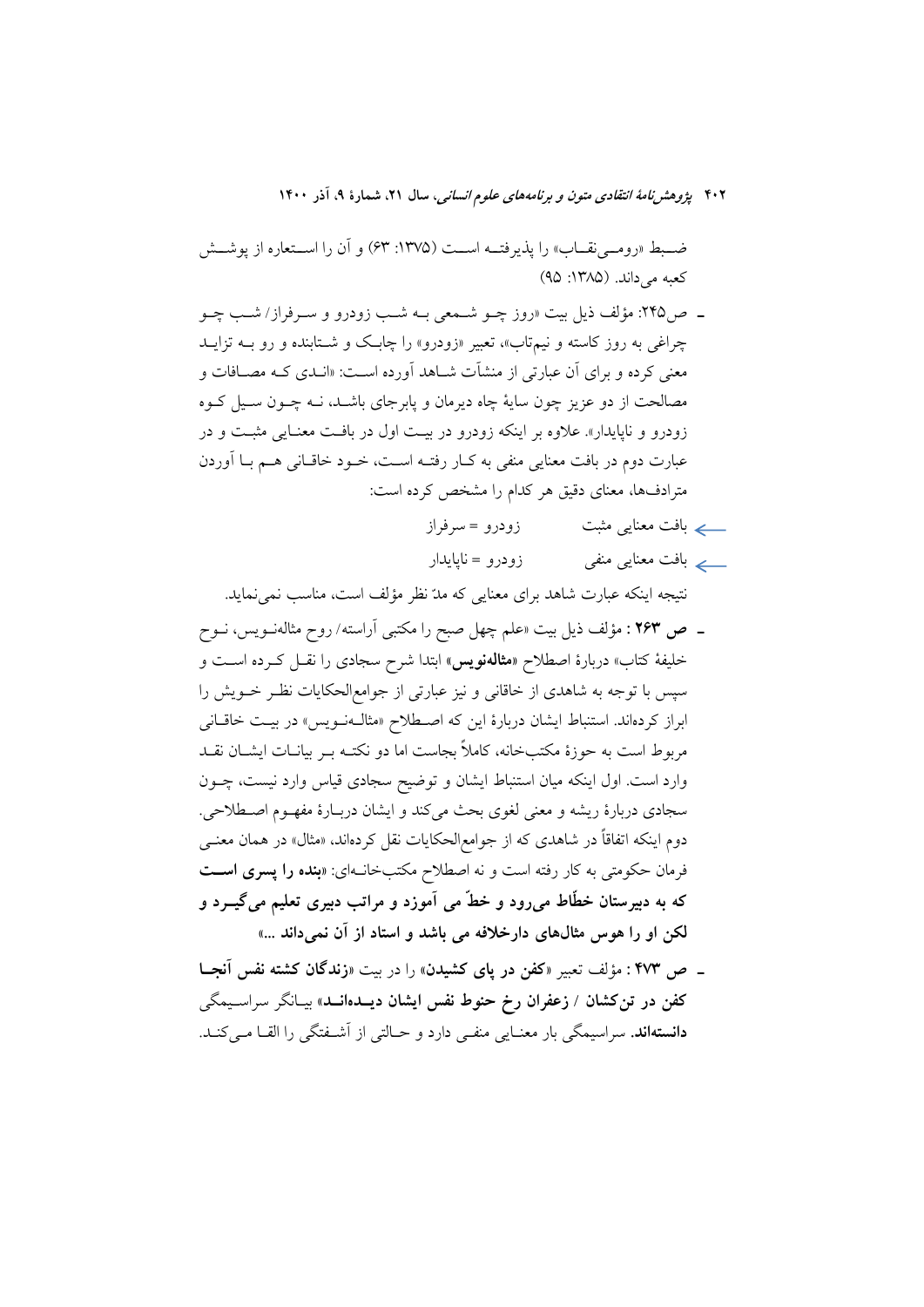ضبط «رومــي نقــاب» را يذيرفتــه اســت (١٣٧۵: ۶۳) و آن را اســتعاره از يوشــش كعبه مي داند. (١٣٨٥: ٩٥)

- ــ ص٢۴۵: مؤلف ذيل بيت «روز چــو شــمعي بــه شــب زودرو و ســرفراز/ شــب چــو چراغی به روز کاسته و نیم**تاب»، تعبیر «زودرو» را چابک و شـتابنده** و رو بــه تزایــد معنی کرده و برای آن عبارتی از منشآت شـاهد آورده اسـت: «انـدی کـه مصـافات و مصالحت از دو عزیز چون سایهٔ چاه دیرمان و پابرجای باشــد، نــه چــون ســیل کــوه زودرو و ناپایدار». علاوه بر اینکه زودرو در بیت اول در بافت معنایی مثبت و در عبارت دوم در بافت معنایی منفی به کـار رفتـه اسـت، خـود خاقـانی هـم بـا آوردن مترادفها، معناي دقيق هر كدام را مشخص كرده است:
	- زودرو = سه فراز
	- \_\_ے بافت معنای<sub>ی</sub> منفی زودرو = نایایدار

نتیجه اینکه عبارت شاهد برای معنایی که مدّ نظر مؤلف است، مناسب نمی نماید.

- ــ ص ۲۶۳ : مؤلف ذیل بیت «علم چهل صبح را مکتبی آراسته/ روح مثالهنــویس، نــوح خلیفهٔ کتاب» دربارهٔ اصطلاح «مثالهنویس» ابتدا شرح سجادی را نقــل کــرده اســت و سیس با توجه به شاهدی از خاقانی و نیز عبارتی از جوامعالحکایات نظـر خــویش را ابراز کردهاند. استنباط ایشان دربارهٔ این که اصطلاح «مثال**ه**نویس» در بیت خاقانی مربوط است به حوزهٔ مکتبخانه، کاملاً بجاست اما دو نکتـه بـر بیانــات ایشــان نقــد وارد است. اول اینکه میان استنباط ایشان و توضیح سجادی قیاس وارد نیست، چـون سجادي دربارهٔ ريشه و معنى لغوي بحث ميكند و ايشان دربـارهٔ مفهـوم اصـطلاحي. دوم اینکه اتفاقاً در شاهدی که از جوامع|لحکایات نقل کردهاند، «مثال» در همان معنــی فرمان حکومتی به کار رفته است و نه اصطلاح مکتبخانـهای: «**بنده را پسری اســ**ت که به دبیرستان خطّاط میرود و خطّ می آموزد و مراتب دبیری تعلیم میگیــرد و لکن او را هوس مثالهای دارخلافه می باشد و استاد از آن نمیداند ...»
- \_ ص ۴۷۳ : مؤلف تعبير «كفن در پاي كشيدن» را در بيت «زندگان كشته نفس آنجـا کفن در تن کشان / زعفران رخ حنوط نفس ایشان دیــدهانــد» بیـانگر سراســیمگی دانستهاند. سراسيمگي بار معنـايي منفـي دارد و حـالتي از آشــفتگي را القــا مــي كنــد.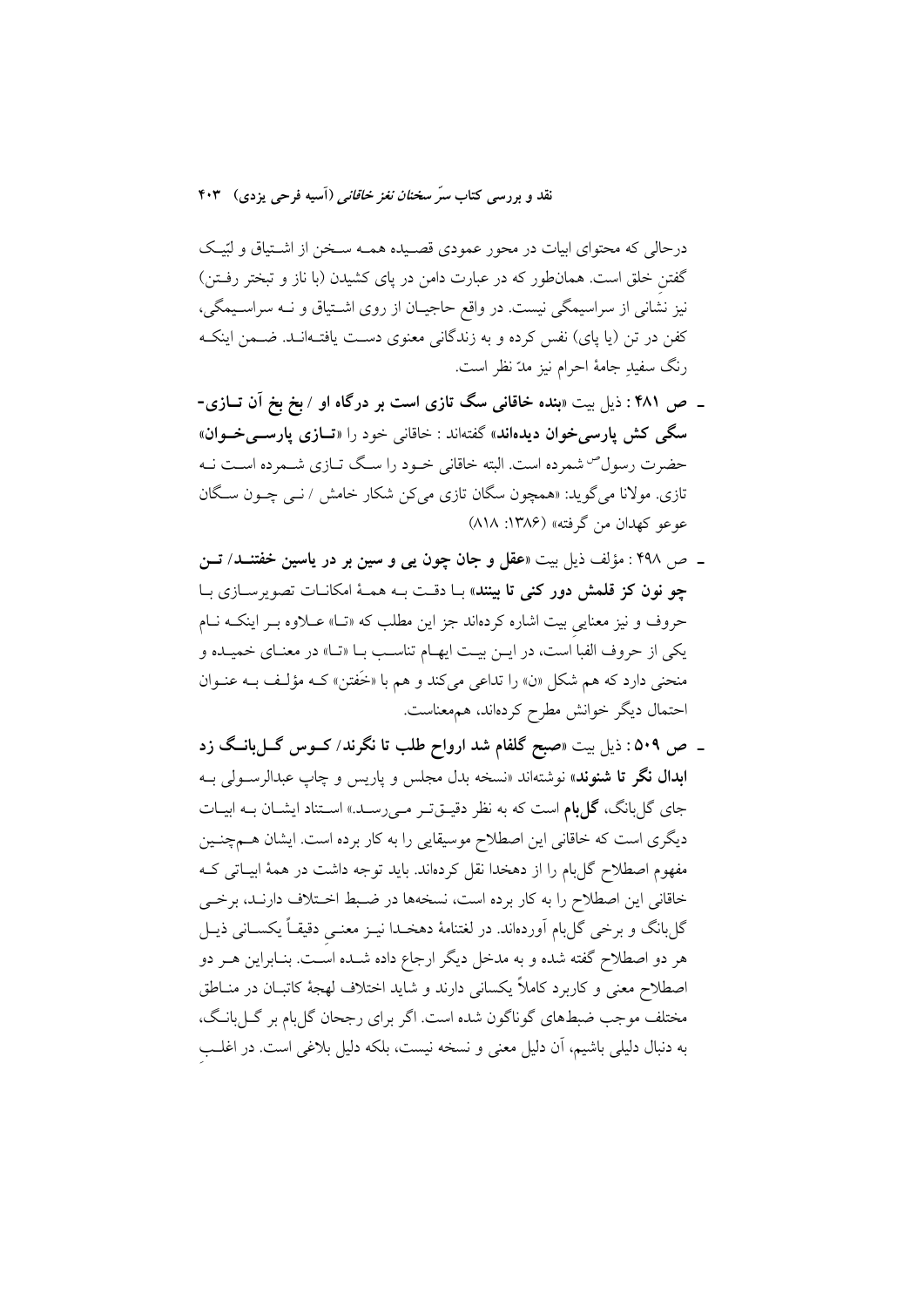درحالی که محتوای ابیات در محور عمودی قصـیده همـه سـخن از اشـتیاق و لبّیـک گفتن خلق است. همانطور که در عبارت دامن در پای کشیدن (با ناز و تبختر رفـتن) نیز نشانی از سراسیمگی نیست. در واقع حاجیـان از روی اشـتیاق و نــه سراسـیمگی، کفن در تن (یا پای) نفس کرده و به زندگانی معنوی دست یافتـهانـد. ضـمن اینکـه رنگ سفيڊ جامهٔ احرام نيز مدّ نظر است.

- ـ ص ۴۸۱ : ذیل بیت «بنده خاقانی سگ تازی است بر درگاه او / بخ بخ آن تــازی-سگی کش یارسی خوان دیدهاند» گفتهاند : خاقانی خود را «تــازی یارســی خــوان» حضرت رسول<sup>ص</sup> شمرده است. البته خاقانی خـود را سـگ تـازی شـمرده اسـت نـه تازی. مولانا میگوید: «همچون سگان تازی میکن شکار خامش / نـبی چــون سـگان عوعو كهدان من گرفته» (١٣٨۶: ٨١٨)
- ۔ ص ۴۹۸ : مؤلف ذیل بیت «عقل و جان چون یی و سین بر در یاسین خفتنــد/ تــن چو نون کز قلمش دور کنی تا بینند» بـا دقـت بـه همـهٔ امکانـات تصویرسـازی بـا حروف و نیز معنایی بیت اشاره کردهاند جز این مطلب که «تـا» عـلاوه بـر اینکـه نـام یکی از حروف الفبا است، در ایـن بیـت ایهـام تناسـب بـا «تـا» در معنـای خمیـده و منحنی دارد که هم شکل «ن» را تداعی میکند و هم با «خَفتن» کـه مؤلـف بــه عنــوان احتمال دیگر خوانش مطرح کردهاند، همهعناست.
- ـ ص ۵۰۹: ذیل بیت «صبح گلفام شد ارواح طلب تا نگرند/ کــوس گــلبانــگ زد ابدال نگر تا شنوند» نوشتهاند «نسخه بدل مجلس و پاریس و چاپ عبدالرسـولی بــه جای گل بانگ، گل بام است که به نظر دقیــقتـر مــیرسـد.» اســتناد ایشــان بــه ابیــات دیگری است که خاقانی این اصطلاح موسیقایی را به کار برده است. ایشان هــمچنـین مفهوم اصطلاح گل بام را از دهخدا نقل کردهاند. باید توجه داشت در همهٔ ابیــاتی کــه خاقانی این اصطلاح را به کار برده است، نسخهها در ضبط اختلاف دارنـد، برخـی گل،بانگ و برخی گل،بام آوردهاند. در لغتنامهٔ دهخـدا نیــز معنــی دقیقــاً یکســانی ذیــل هر دو اصطلاح گفته شده و به مدخل دیگر ارجاع داده شــده اســت. بنــابراین هــر دو اصطلاح معنی و کاربرد کاملاً یکسانی دارند و شاید اختلاف لهجهٔ کاتبـان در منــاطق مختلف موجب ضبطهاي گوناگون شده است. اگر براي رجحان گلبام بر گـلبانـگ، به دنبال دلیلی باشیم، آن دلیل معنی و نسخه نیست، بلکه دلیل بلاغی است. در اغلب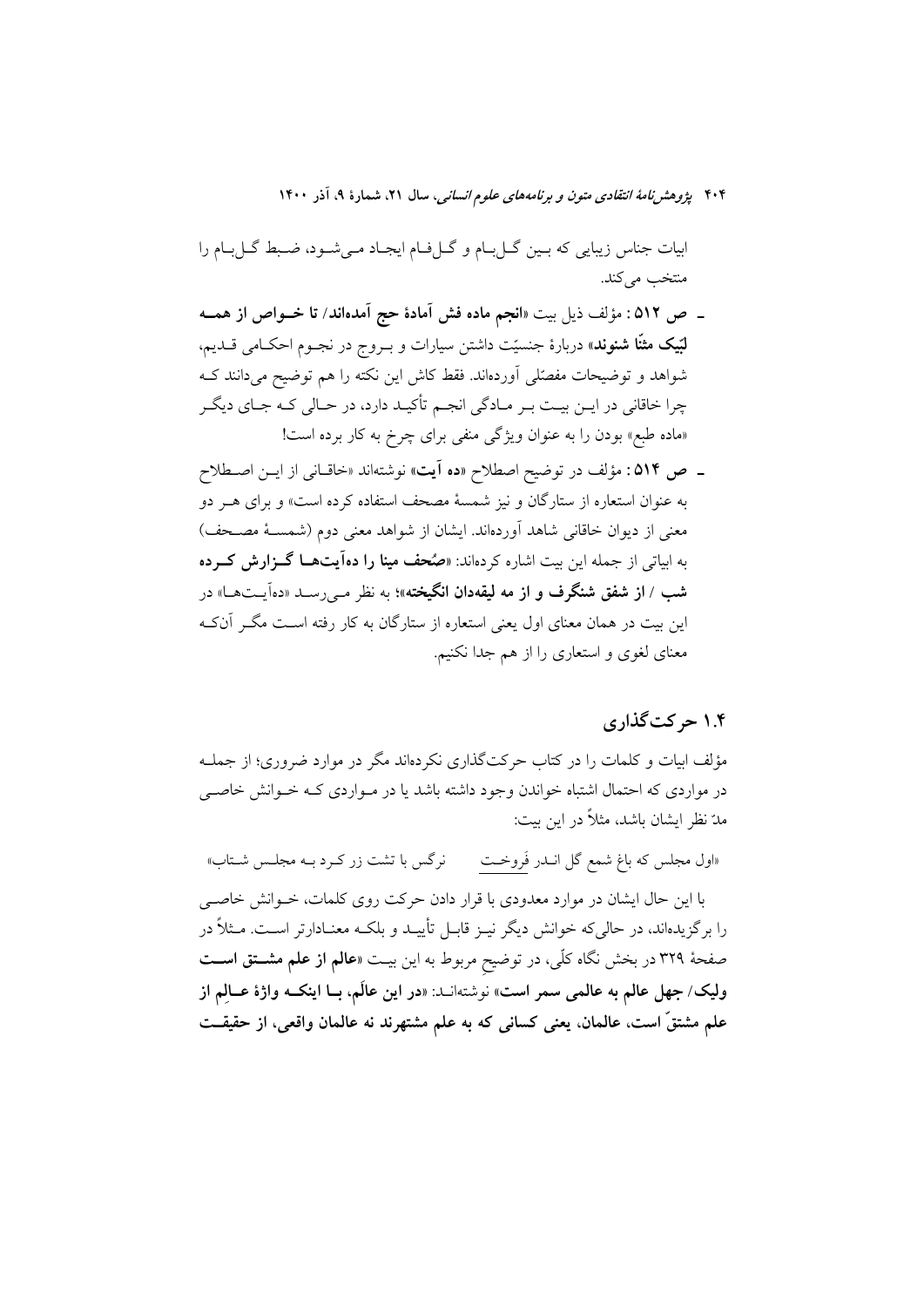بیات جناس زیبایی که بـین گــلبـام و گــلفـام ایجـاد مــیشــود، ضـبط گــلبـام را منتخب مي كند.

- \_ ص ٥١٢ : مؤلف ذيل بيت «انجم ماده فش آمادة حج آمدهاند/ تا خــواص از همــه **لبّيک مثنّا شنوند**» دربارهٔ جنسيّت داشتن سيارات و بــروج در نجــوم احکــامي قــديم، شواهد و توضیحات مفصّلی آوردهاند. فقط کاش این نکته را هم توضیح میدانند ک چرا خاقانی در ایـن بیـت بـر مـادگی انجـم تأکیـد دارد، در حـالی کـه جـای دیگـر «ماده طبع» بودن را به عنوان ویژگی منفی برای چرخ به کار برده است!
- ـ ص ٥١۴: مؤلف در توضيح اصطلاح «ده آيت» نوشتهاند «خاقـاني از ايــن اصــطلاح به عنوان استعاره از ستارگان و نیز شمسهٔ مصحف استفاده کرده است» و برای هــر دو معنی از دیوان خاقانی شاهد آوردهاند. ایشان از شواهد معنی دوم (شمسـهٔ مصـحف) به ابیاتی از جمله این بیت اشاره کردهاند: «**صُحف مینا را دهآیتهــا گــزارش کــرده** شب / **از شفق شنگرف و از مه لیقهدان انگیخته»؛** به نظر مـ<sub>ي </sub>رســد «دهآيــتهــا» در این بیت در همان معنای اول یعنی استعاره از ستارگان به کار رفته اسـت مگـر آنکـه معنای لغوی و استعاری را از هم جدا نکنیم.

## ۱.۴ حرکت گذاری

مؤلف ابیات و کلمات را در کتاب حرکتگذاری نکردهاند مگر در موارد ضروری؛ از جملـه در مواردی که احتمال اشتباه خواندن وجود داشته باشد یا در مـواردی کـه خـوانش خاصـی مدّ نظر ايشان باشد، مثلاً در اين بيت:

نرگس با تشت زر کـرد بــه مجلــس شــتاب» «اول مجلس که باغ شمع گل انــدر فَروخــت با این حال ایشان در موارد معدودی با قرار دادن حرکت روی کلمات، خـوانش خاصـی را برگزیدهاند، در حالی که خوانش دیگر نیــز قابــل تأییــد و بلکــه معنــادارتر اســت. مــثلاً در صفحهٔ ۳۲۹ در بخش نگاه کلّی، در توضیح مربوط به این بیـت «**عالم از علم مشــتق اســت** وليک/ جهل عالم به عالمي سمر است» نوشتهانــد: «در اين عالَم، بــا اينکــه واژهٔ عــالم از علم مشتقّ است، عالمان. يعني كساني كه به علم مشتهرند نه عالمان واقعي، از حقيقــت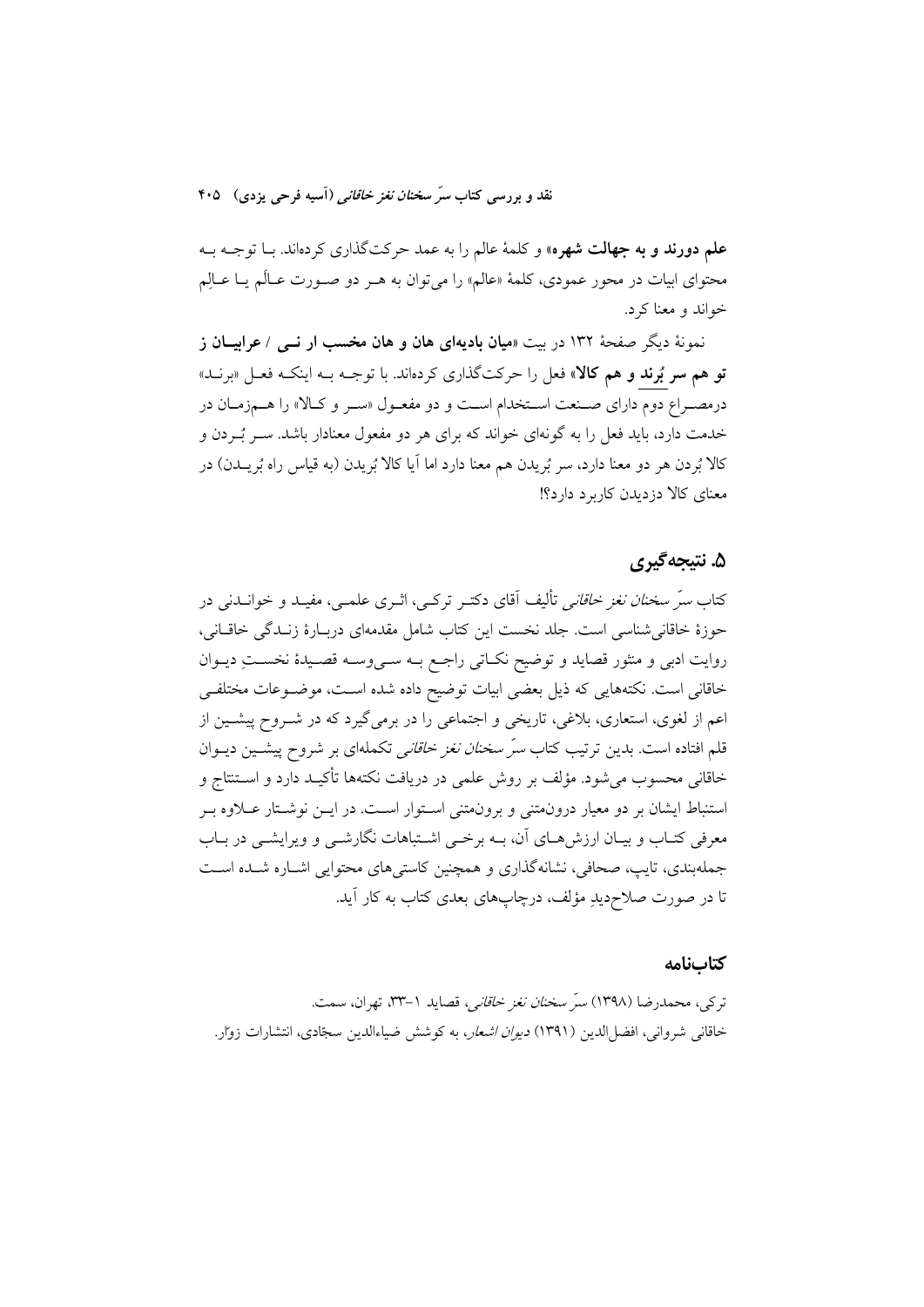علم دورند و به جهالت شهره» و کلمهٔ عالم را به عمد حرکتگذاری کردهاند. بـا توجــه بــه محتوای ابیات در محور عمودی، کلمهٔ «عالم» را میٍ توان به هـر دو صـورت عـالَم یــا عــالِم خواند و معنا کړ د.

نمونهٔ دیگر صفحهٔ ۱۳۲ در بیت «م**یان بادیهای هان و هان مخسب ار نـــ**ی / **عرابیــان ز تو هم سر بُرند و هم کالا»** فعل را حرکتگذاری کردهاند. با توجــه بــه اینکــه فعــل «برنــد» درمصـراع دوم داراي صـنعت اسـتخدام اسـت و دو مفعـول «سـر و كـالا» را هـمزمـان در خدمت دارد، باید فعل را به گونهای خواند که برای هر دو مفعول معنادار باشد. سـر بُــردن و كالا بُرِدن هر دو معنا دارد، سر بُريدن هم معنا دارد اما آيا كالا بُريدن (به قياس راه بُريــدن) در معنای کالا دز دیدن کاربرد دارد؟!

## ۵. نتيجه گيري

کتاب *سرّ سخنان نغز خاقانی* تألیف آقای دکتـر ترکـی، اثـری علمـی، مفیـد و خوانــدنی در حوزهٔ خاقانی شناسی است. جلد نخست این کتاب شامل مقدمهای دربـارهٔ زنـدگی خاقـانی، روايت ادبي و منثور قصايد و توضيح نكـاتي راجـع بــه ســيوســه قصــيدهٔ نخســتِ ديــوان خاقانی است. نکتههایی که ذیل بعضی ابیات توضیح داده شده اسـت، موضـوعات مختلفـی اعم از لغوی، استعاری، بلاغی، تاریخی و اجتماعی را در برمیگیرد که در شــروح پیشــین از قلم افتاده است. بدین ترتیب کتاب *سرّ سخنان نغز خاقانی* تکملهای بر شروح پیشــین دیــوان خاقانی محسوب می شود. مؤلف بر روش علمی در دریافت نکتهها تأکیـد دارد و اســتنتاج و استنباط ایشان بر دو معیار درون متنی و برون متنی استوار است. در ایــن نوشـتار عــلاوه بــر معرفی کتـاب و بیـان ارزش۵حـای آن، بــه برخــی اشــتباهات نگارشــی و ویرایشــی در بــاب جملهبندی، تایب، صحافی، نشانهگذاری و همچنین کاستیهای محتوایی اشـاره شـده اسـت تا در صورت صلاح،دیدِ مؤلف، درچاپهای بعدی کتاب به کار آید.

#### كتابنامه

تركي، محمدرضا (١٣٩٨) *سرّ سخنان نغز خاقاني*، قصايد ١–٣٣، تهران، سمت. خاقانی شروانی، افضلالدین (۱۳۹۱) *دیوان اشعار*، به کوشش ضیاءالدین سجّادی، انتشارات زوار.